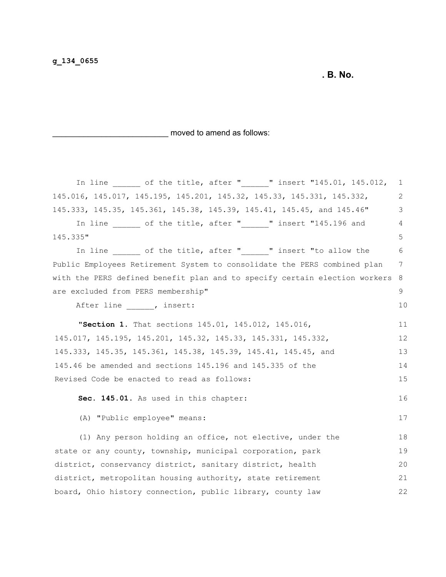**. B. No.**

\_\_\_\_\_\_\_\_\_\_\_\_\_\_\_\_\_\_\_\_\_\_\_\_\_\_ moved to amend as follows:

| In line $\frac{1}{\sqrt{15}}$ of the title, after " $\frac{1}{\sqrt{15}}$ insert "145.01, 145.012, | 1  |
|----------------------------------------------------------------------------------------------------|----|
| 145.016, 145.017, 145.195, 145.201, 145.32, 145.33, 145.331, 145.332,                              | 2  |
| 145.333, 145.35, 145.361, 145.38, 145.39, 145.41, 145.45, and 145.46"                              | 3  |
| In line ______ of the title, after "______" insert "145.196 and                                    | 4  |
| 145.335"                                                                                           | 5  |
| In line ______ of the title, after "______" insert "to allow the                                   | 6  |
| Public Employees Retirement System to consolidate the PERS combined plan                           | 7  |
| with the PERS defined benefit plan and to specify certain election workers                         | 8  |
| are excluded from PERS membership"                                                                 | 9  |
| After line , insert:                                                                               | 10 |
| "Section 1. That sections 145.01, 145.012, 145.016,                                                | 11 |
| 145.017, 145.195, 145.201, 145.32, 145.33, 145.331, 145.332,                                       | 12 |
| 145.333, 145.35, 145.361, 145.38, 145.39, 145.41, 145.45, and                                      | 13 |
| 145.46 be amended and sections 145.196 and 145.335 of the                                          | 14 |
| Revised Code be enacted to read as follows:                                                        | 15 |
| Sec. 145.01. As used in this chapter:                                                              | 16 |
| (A) "Public employee" means:                                                                       | 17 |
| (1) Any person holding an office, not elective, under the                                          | 18 |
| state or any county, township, municipal corporation, park                                         | 19 |
| district, conservancy district, sanitary district, health                                          | 20 |
| district, metropolitan housing authority, state retirement                                         | 21 |
| board, Ohio history connection, public library, county law                                         | 22 |
|                                                                                                    |    |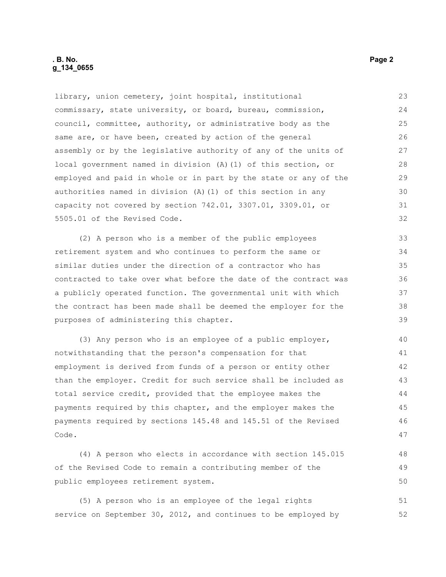library, union cemetery, joint hospital, institutional commissary, state university, or board, bureau, commission, council, committee, authority, or administrative body as the same are, or have been, created by action of the general assembly or by the legislative authority of any of the units of local government named in division (A)(1) of this section, or employed and paid in whole or in part by the state or any of the authorities named in division (A)(1) of this section in any capacity not covered by section 742.01, 3307.01, 3309.01, or 5505.01 of the Revised Code. (2) A person who is a member of the public employees retirement system and who continues to perform the same or similar duties under the direction of a contractor who has 23 24 25 26 27 28 29 30 31 32 33 34 35

contracted to take over what before the date of the contract was a publicly operated function. The governmental unit with which the contract has been made shall be deemed the employer for the purposes of administering this chapter. 36 37 38 39

(3) Any person who is an employee of a public employer, notwithstanding that the person's compensation for that employment is derived from funds of a person or entity other than the employer. Credit for such service shall be included as total service credit, provided that the employee makes the payments required by this chapter, and the employer makes the payments required by sections 145.48 and 145.51 of the Revised Code. 40 41 42 43 44 45 46 47

(4) A person who elects in accordance with section 145.015 of the Revised Code to remain a contributing member of the public employees retirement system. 48 49 50

(5) A person who is an employee of the legal rights service on September 30, 2012, and continues to be employed by 51 52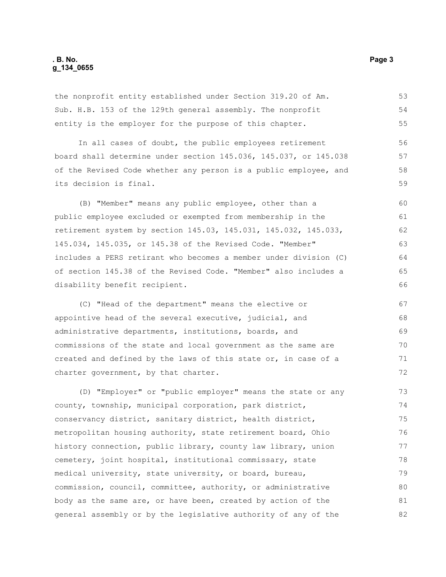the nonprofit entity established under Section 319.20 of Am. Sub. H.B. 153 of the 129th general assembly. The nonprofit entity is the employer for the purpose of this chapter.

In all cases of doubt, the public employees retirement board shall determine under section 145.036, 145.037, or 145.038 of the Revised Code whether any person is a public employee, and its decision is final. 56 57 58 59

(B) "Member" means any public employee, other than a public employee excluded or exempted from membership in the retirement system by section 145.03, 145.031, 145.032, 145.033, 145.034, 145.035, or 145.38 of the Revised Code. "Member" includes a PERS retirant who becomes a member under division (C) of section 145.38 of the Revised Code. "Member" also includes a disability benefit recipient.

(C) "Head of the department" means the elective or appointive head of the several executive, judicial, and administrative departments, institutions, boards, and commissions of the state and local government as the same are created and defined by the laws of this state or, in case of a charter government, by that charter. 67 68 69 70 71 72

(D) "Employer" or "public employer" means the state or any county, township, municipal corporation, park district, conservancy district, sanitary district, health district, metropolitan housing authority, state retirement board, Ohio history connection, public library, county law library, union cemetery, joint hospital, institutional commissary, state medical university, state university, or board, bureau, commission, council, committee, authority, or administrative body as the same are, or have been, created by action of the general assembly or by the legislative authority of any of the 73 74 75 76 77 78 79 80 81 82

53 54 55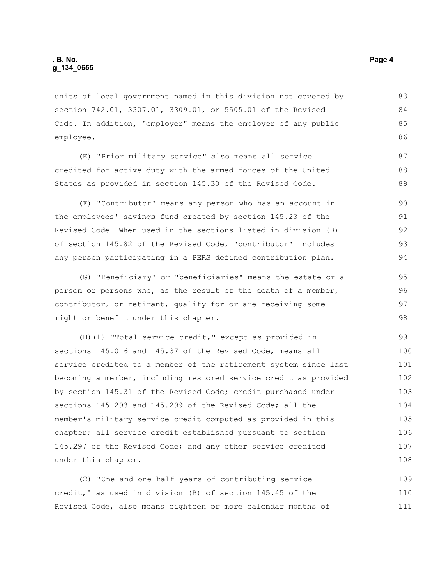units of local government named in this division not covered by section 742.01, 3307.01, 3309.01, or 5505.01 of the Revised Code. In addition, "employer" means the employer of any public employee.

(E) "Prior military service" also means all service credited for active duty with the armed forces of the United States as provided in section 145.30 of the Revised Code.

(F) "Contributor" means any person who has an account in the employees' savings fund created by section 145.23 of the Revised Code. When used in the sections listed in division (B) of section 145.82 of the Revised Code, "contributor" includes any person participating in a PERS defined contribution plan. 90 91 92 93 94

(G) "Beneficiary" or "beneficiaries" means the estate or a person or persons who, as the result of the death of a member, contributor, or retirant, qualify for or are receiving some right or benefit under this chapter. 95 96 97 98

(H)(1) "Total service credit," except as provided in sections 145.016 and 145.37 of the Revised Code, means all service credited to a member of the retirement system since last becoming a member, including restored service credit as provided by section 145.31 of the Revised Code; credit purchased under sections 145.293 and 145.299 of the Revised Code; all the member's military service credit computed as provided in this chapter; all service credit established pursuant to section 145.297 of the Revised Code; and any other service credited under this chapter. 99 100 101 102 103 104 105 106 107 108

(2) "One and one-half years of contributing service credit," as used in division (B) of section 145.45 of the Revised Code, also means eighteen or more calendar months of 109 110 111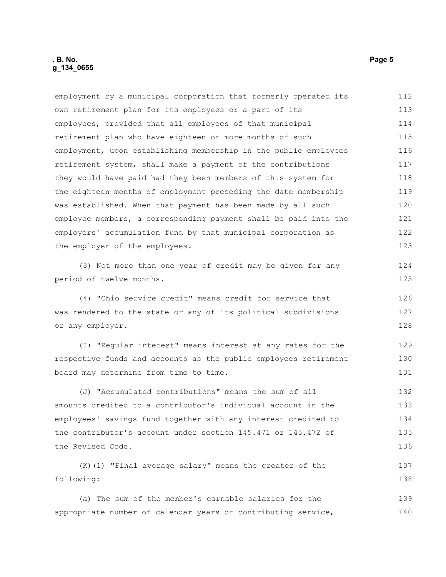employment by a municipal corporation that formerly operated its own retirement plan for its employees or a part of its employees, provided that all employees of that municipal retirement plan who have eighteen or more months of such employment, upon establishing membership in the public employees retirement system, shall make a payment of the contributions they would have paid had they been members of this system for the eighteen months of employment preceding the date membership was established. When that payment has been made by all such employee members, a corresponding payment shall be paid into the employers' accumulation fund by that municipal corporation as the employer of the employees. (3) Not more than one year of credit may be given for any period of twelve months. (4) "Ohio service credit" means credit for service that was rendered to the state or any of its political subdivisions or any employer. (I) "Regular interest" means interest at any rates for the respective funds and accounts as the public employees retirement board may determine from time to time. (J) "Accumulated contributions" means the sum of all amounts credited to a contributor's individual account in the employees' savings fund together with any interest credited to the contributor's account under section 145.471 or 145.472 of the Revised Code. (K)(1) "Final average salary" means the greater of the following: (a) The sum of the member's earnable salaries for the appropriate number of calendar years of contributing service, 112 113 114 115 116 117 118 119 120 121 122 123 124 125 126 127 128 129 130 131 132 133 134 135 136 137 138 139 140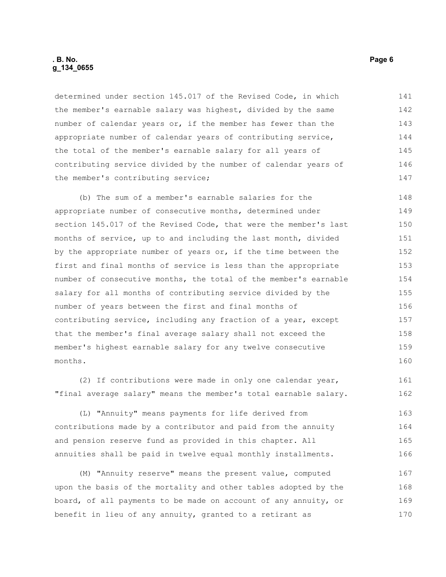#### **. B. No. Page 6 g\_134\_0655**

determined under section 145.017 of the Revised Code, in which the member's earnable salary was highest, divided by the same number of calendar years or, if the member has fewer than the appropriate number of calendar years of contributing service, the total of the member's earnable salary for all years of contributing service divided by the number of calendar years of the member's contributing service; 141 142 143 144 145 146 147

(b) The sum of a member's earnable salaries for the appropriate number of consecutive months, determined under section 145.017 of the Revised Code, that were the member's last months of service, up to and including the last month, divided by the appropriate number of years or, if the time between the first and final months of service is less than the appropriate number of consecutive months, the total of the member's earnable salary for all months of contributing service divided by the number of years between the first and final months of contributing service, including any fraction of a year, except that the member's final average salary shall not exceed the member's highest earnable salary for any twelve consecutive months. 148 149 150 151 152 153 154 155 156 157 158 159 160

(2) If contributions were made in only one calendar year, "final average salary" means the member's total earnable salary. 161 162

(L) "Annuity" means payments for life derived from contributions made by a contributor and paid from the annuity and pension reserve fund as provided in this chapter. All annuities shall be paid in twelve equal monthly installments. 163 164 165 166

(M) "Annuity reserve" means the present value, computed upon the basis of the mortality and other tables adopted by the board, of all payments to be made on account of any annuity, or benefit in lieu of any annuity, granted to a retirant as 167 168 169 170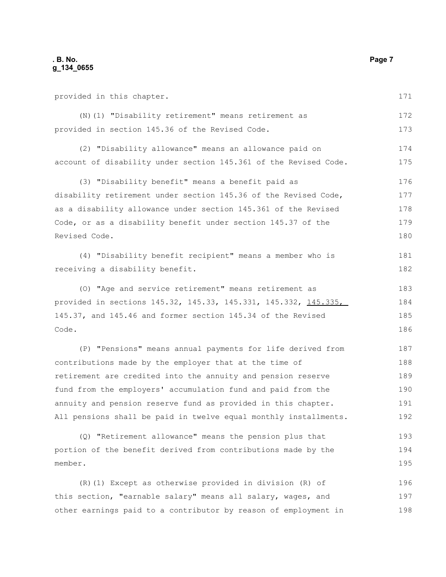provided in this chapter. (N)(1) "Disability retirement" means retirement as provided in section 145.36 of the Revised Code. (2) "Disability allowance" means an allowance paid on account of disability under section 145.361 of the Revised Code. (3) "Disability benefit" means a benefit paid as disability retirement under section 145.36 of the Revised Code, as a disability allowance under section 145.361 of the Revised Code, or as a disability benefit under section 145.37 of the Revised Code. (4) "Disability benefit recipient" means a member who is receiving a disability benefit. (O) "Age and service retirement" means retirement as provided in sections 145.32, 145.33, 145.331, 145.332, 145.335, 145.37, and 145.46 and former section 145.34 of the Revised Code. (P) "Pensions" means annual payments for life derived from contributions made by the employer that at the time of retirement are credited into the annuity and pension reserve fund from the employers' accumulation fund and paid from the annuity and pension reserve fund as provided in this chapter. All pensions shall be paid in twelve equal monthly installments. 171 172 173 174 175 176 177 178 179 180 181 182 183 184 185 186 187 188 189 190 191 192 193

(Q) "Retirement allowance" means the pension plus that portion of the benefit derived from contributions made by the member. 194 195

(R)(1) Except as otherwise provided in division (R) of this section, "earnable salary" means all salary, wages, and other earnings paid to a contributor by reason of employment in 196 197 198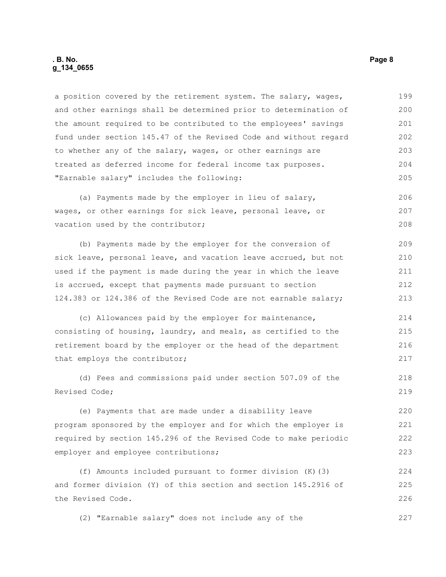#### **. B. No. Page 8 g\_134\_0655**

a position covered by the retirement system. The salary, wages, and other earnings shall be determined prior to determination of the amount required to be contributed to the employees' savings fund under section 145.47 of the Revised Code and without regard to whether any of the salary, wages, or other earnings are treated as deferred income for federal income tax purposes. "Earnable salary" includes the following: 199 200 201 202 203 204 205

(a) Payments made by the employer in lieu of salary, wages, or other earnings for sick leave, personal leave, or vacation used by the contributor; 206 207 208

(b) Payments made by the employer for the conversion of sick leave, personal leave, and vacation leave accrued, but not used if the payment is made during the year in which the leave is accrued, except that payments made pursuant to section 124.383 or 124.386 of the Revised Code are not earnable salary; 209 210 211 212 213

(c) Allowances paid by the employer for maintenance, consisting of housing, laundry, and meals, as certified to the retirement board by the employer or the head of the department that employs the contributor; 214 215 216 217

(d) Fees and commissions paid under section 507.09 of the Revised Code;

(e) Payments that are made under a disability leave program sponsored by the employer and for which the employer is required by section 145.296 of the Revised Code to make periodic employer and employee contributions;

(f) Amounts included pursuant to former division (K)(3) and former division (Y) of this section and section 145.2916 of the Revised Code. 224 225 226

(2) "Earnable salary" does not include any of the 227

218 219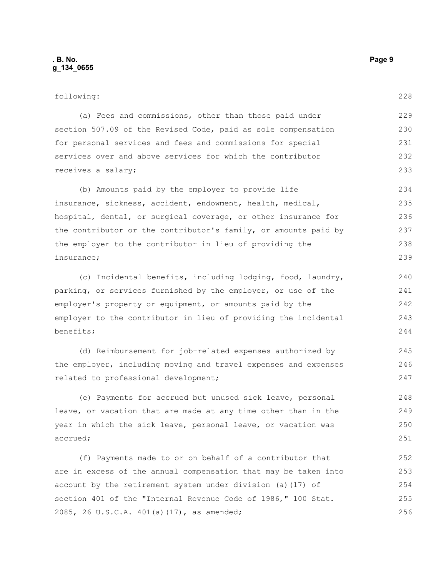#### following:

228

245 246 247

| (a) Fees and commissions, other than those paid under         |
|---------------------------------------------------------------|
| section 507.09 of the Revised Code, paid as sole compensation |
| for personal services and fees and commissions for special    |
| services over and above services for which the contributor    |
| receives a salary;                                            |

(b) Amounts paid by the employer to provide life insurance, sickness, accident, endowment, health, medical, hospital, dental, or surgical coverage, or other insurance for the contributor or the contributor's family, or amounts paid by the employer to the contributor in lieu of providing the insurance; 234 235 236 237 238 239

(c) Incidental benefits, including lodging, food, laundry, parking, or services furnished by the employer, or use of the employer's property or equipment, or amounts paid by the employer to the contributor in lieu of providing the incidental benefits;

(d) Reimbursement for job-related expenses authorized by the employer, including moving and travel expenses and expenses related to professional development;

(e) Payments for accrued but unused sick leave, personal leave, or vacation that are made at any time other than in the year in which the sick leave, personal leave, or vacation was accrued; 248 249 250 251

(f) Payments made to or on behalf of a contributor that are in excess of the annual compensation that may be taken into account by the retirement system under division (a)(17) of section 401 of the "Internal Revenue Code of 1986," 100 Stat. 2085, 26 U.S.C.A. 401(a)(17), as amended; 252 253 254 255 256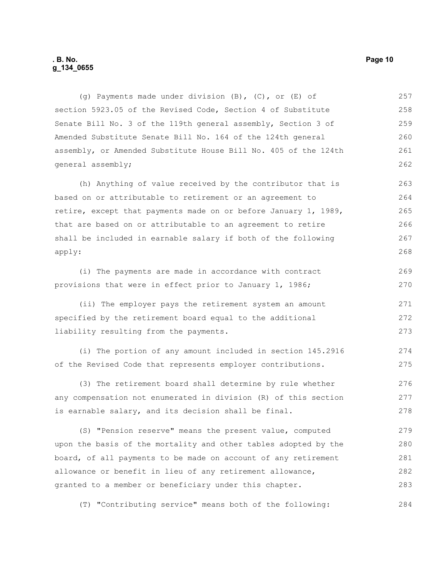#### **. B. No. Page 10 g\_134\_0655**

(g) Payments made under division (B), (C), or (E) of section 5923.05 of the Revised Code, Section 4 of Substitute Senate Bill No. 3 of the 119th general assembly, Section 3 of Amended Substitute Senate Bill No. 164 of the 124th general assembly, or Amended Substitute House Bill No. 405 of the 124th general assembly; 257 258 259 260 261 262

(h) Anything of value received by the contributor that is based on or attributable to retirement or an agreement to retire, except that payments made on or before January 1, 1989, that are based on or attributable to an agreement to retire shall be included in earnable salary if both of the following apply: 263 264 265 266 267 268

(i) The payments are made in accordance with contract provisions that were in effect prior to January 1, 1986; 269 270

(ii) The employer pays the retirement system an amount specified by the retirement board equal to the additional liability resulting from the payments. 271 272 273

(i) The portion of any amount included in section 145.2916 of the Revised Code that represents employer contributions. 274 275

(3) The retirement board shall determine by rule whether any compensation not enumerated in division (R) of this section is earnable salary, and its decision shall be final. 276 277 278

(S) "Pension reserve" means the present value, computed upon the basis of the mortality and other tables adopted by the board, of all payments to be made on account of any retirement allowance or benefit in lieu of any retirement allowance, granted to a member or beneficiary under this chapter. 279 280 281 282 283

(T) "Contributing service" means both of the following: 284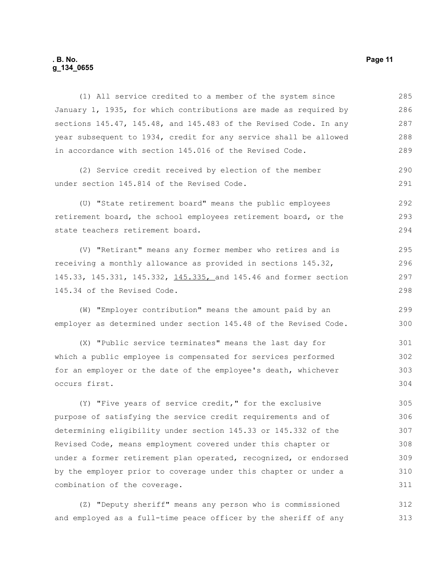#### **. B. No. Page 11 g\_134\_0655**

(1) All service credited to a member of the system since January 1, 1935, for which contributions are made as required by sections 145.47, 145.48, and 145.483 of the Revised Code. In any year subsequent to 1934, credit for any service shall be allowed in accordance with section 145.016 of the Revised Code. (2) Service credit received by election of the member 285 286 287 288 289 290

under section 145.814 of the Revised Code.

(U) "State retirement board" means the public employees retirement board, the school employees retirement board, or the state teachers retirement board. 292 293 294

(V) "Retirant" means any former member who retires and is receiving a monthly allowance as provided in sections 145.32, 145.33, 145.331, 145.332, 145.335, and 145.46 and former section 145.34 of the Revised Code.

(W) "Employer contribution" means the amount paid by an employer as determined under section 145.48 of the Revised Code.

(X) "Public service terminates" means the last day for which a public employee is compensated for services performed for an employer or the date of the employee's death, whichever occurs first. 301 302 303 304

(Y) "Five years of service credit," for the exclusive purpose of satisfying the service credit requirements and of determining eligibility under section 145.33 or 145.332 of the Revised Code, means employment covered under this chapter or under a former retirement plan operated, recognized, or endorsed by the employer prior to coverage under this chapter or under a combination of the coverage. 305 306 307 308 309 310 311

(Z) "Deputy sheriff" means any person who is commissioned and employed as a full-time peace officer by the sheriff of any 312 313

291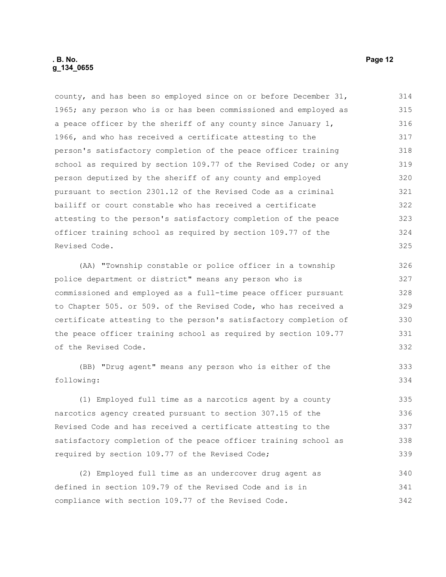county, and has been so employed since on or before December 31, 1965; any person who is or has been commissioned and employed as a peace officer by the sheriff of any county since January 1, 1966, and who has received a certificate attesting to the person's satisfactory completion of the peace officer training school as required by section 109.77 of the Revised Code; or any person deputized by the sheriff of any county and employed pursuant to section 2301.12 of the Revised Code as a criminal bailiff or court constable who has received a certificate attesting to the person's satisfactory completion of the peace officer training school as required by section 109.77 of the Revised Code. 314 315 316 317 318 319 320 321 322 323 324 325

(AA) "Township constable or police officer in a township police department or district" means any person who is commissioned and employed as a full-time peace officer pursuant to Chapter 505. or 509. of the Revised Code, who has received a certificate attesting to the person's satisfactory completion of the peace officer training school as required by section 109.77 of the Revised Code. 326 327 328 329 330 331 332

(BB) "Drug agent" means any person who is either of the following: 333 334

(1) Employed full time as a narcotics agent by a county narcotics agency created pursuant to section 307.15 of the Revised Code and has received a certificate attesting to the satisfactory completion of the peace officer training school as required by section 109.77 of the Revised Code; 335 336 337 338 339

(2) Employed full time as an undercover drug agent as defined in section 109.79 of the Revised Code and is in compliance with section 109.77 of the Revised Code. 340 341 342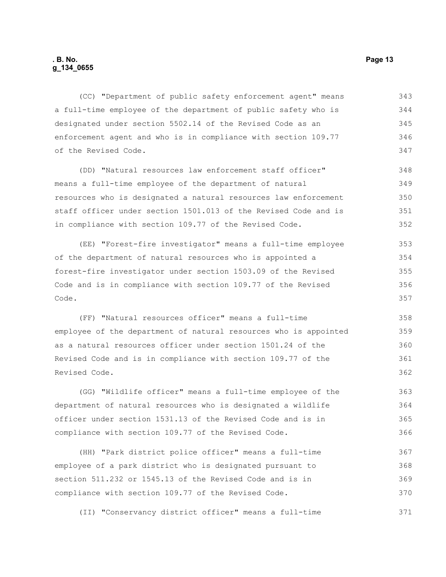(CC) "Department of public safety enforcement agent" means a full-time employee of the department of public safety who is designated under section 5502.14 of the Revised Code as an enforcement agent and who is in compliance with section 109.77 of the Revised Code. 343 344 345 346 347

(DD) "Natural resources law enforcement staff officer" means a full-time employee of the department of natural resources who is designated a natural resources law enforcement staff officer under section 1501.013 of the Revised Code and is in compliance with section 109.77 of the Revised Code. 348 349 350 351 352

(EE) "Forest-fire investigator" means a full-time employee of the department of natural resources who is appointed a forest-fire investigator under section 1503.09 of the Revised Code and is in compliance with section 109.77 of the Revised Code. 353 354 355 356 357

(FF) "Natural resources officer" means a full-time employee of the department of natural resources who is appointed as a natural resources officer under section 1501.24 of the Revised Code and is in compliance with section 109.77 of the Revised Code.

(GG) "Wildlife officer" means a full-time employee of the department of natural resources who is designated a wildlife officer under section 1531.13 of the Revised Code and is in compliance with section 109.77 of the Revised Code.

(HH) "Park district police officer" means a full-time employee of a park district who is designated pursuant to section 511.232 or 1545.13 of the Revised Code and is in compliance with section 109.77 of the Revised Code. 367 368 369 370

(II) "Conservancy district officer" means a full-time 371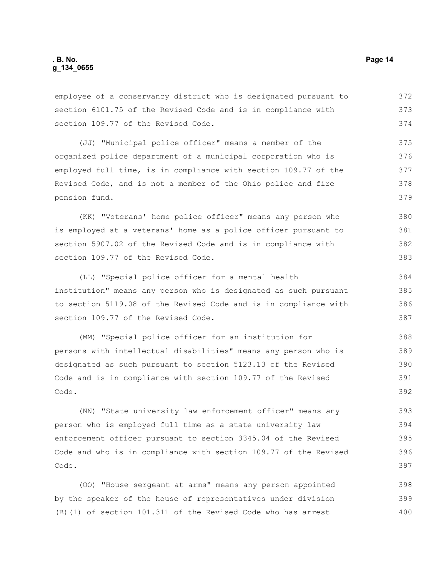employee of a conservancy district who is designated pursuant to section 6101.75 of the Revised Code and is in compliance with section 109.77 of the Revised Code. (JJ) "Municipal police officer" means a member of the organized police department of a municipal corporation who is employed full time, is in compliance with section 109.77 of the

Revised Code, and is not a member of the Ohio police and fire pension fund.

(KK) "Veterans' home police officer" means any person who is employed at a veterans' home as a police officer pursuant to section 5907.02 of the Revised Code and is in compliance with section 109.77 of the Revised Code. 380 381 382 383

(LL) "Special police officer for a mental health institution" means any person who is designated as such pursuant to section 5119.08 of the Revised Code and is in compliance with section 109.77 of the Revised Code. 384 385 386 387

(MM) "Special police officer for an institution for persons with intellectual disabilities" means any person who is designated as such pursuant to section 5123.13 of the Revised Code and is in compliance with section 109.77 of the Revised Code. 388 389 390 391 392

(NN) "State university law enforcement officer" means any person who is employed full time as a state university law enforcement officer pursuant to section 3345.04 of the Revised Code and who is in compliance with section 109.77 of the Revised Code. 393 394 395 396 397

(OO) "House sergeant at arms" means any person appointed by the speaker of the house of representatives under division (B)(1) of section 101.311 of the Revised Code who has arrest 398 399 400

372 373 374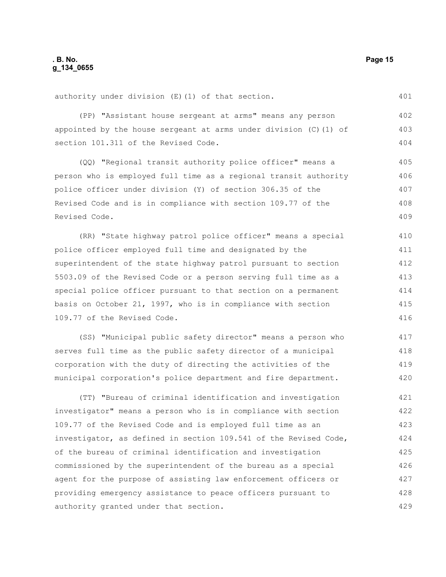401

authority under division (E)(1) of that section.

(PP) "Assistant house sergeant at arms" means any person appointed by the house sergeant at arms under division  $(C)$  (1) of section 101.311 of the Revised Code. 402 403 404

(QQ) "Regional transit authority police officer" means a person who is employed full time as a regional transit authority police officer under division (Y) of section 306.35 of the Revised Code and is in compliance with section 109.77 of the Revised Code. 405 406 407 408 409

(RR) "State highway patrol police officer" means a special police officer employed full time and designated by the superintendent of the state highway patrol pursuant to section 5503.09 of the Revised Code or a person serving full time as a special police officer pursuant to that section on a permanent basis on October 21, 1997, who is in compliance with section 109.77 of the Revised Code. 410 411 412 413 414 415 416

(SS) "Municipal public safety director" means a person who serves full time as the public safety director of a municipal corporation with the duty of directing the activities of the municipal corporation's police department and fire department. 417 418 419 420

(TT) "Bureau of criminal identification and investigation investigator" means a person who is in compliance with section 109.77 of the Revised Code and is employed full time as an investigator, as defined in section 109.541 of the Revised Code, of the bureau of criminal identification and investigation commissioned by the superintendent of the bureau as a special agent for the purpose of assisting law enforcement officers or providing emergency assistance to peace officers pursuant to authority granted under that section. 421 422 423 424 425 426 427 428 429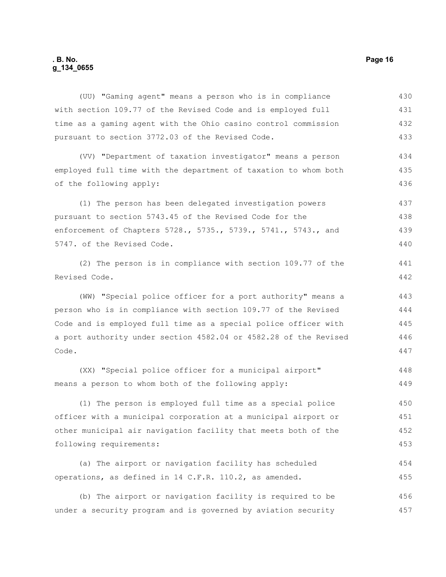# **. B. No. Page 16 g\_134\_0655**

| (UU) "Gaming agent" means a person who is in compliance          | 430 |
|------------------------------------------------------------------|-----|
| with section 109.77 of the Revised Code and is employed full     | 431 |
| time as a gaming agent with the Ohio casino control commission   | 432 |
| pursuant to section 3772.03 of the Revised Code.                 | 433 |
| (VV) "Department of taxation investigator" means a person        | 434 |
| employed full time with the department of taxation to whom both  | 435 |
| of the following apply:                                          | 436 |
| (1) The person has been delegated investigation powers           | 437 |
| pursuant to section 5743.45 of the Revised Code for the          | 438 |
| enforcement of Chapters 5728., 5735., 5739., 5741., 5743., and   | 439 |
| 5747. of the Revised Code.                                       | 440 |
| (2) The person is in compliance with section 109.77 of the       | 441 |
| Revised Code.                                                    | 442 |
| (WW) "Special police officer for a port authority" means a       | 443 |
| person who is in compliance with section 109.77 of the Revised   | 444 |
| Code and is employed full time as a special police officer with  | 445 |
| a port authority under section 4582.04 or 4582.28 of the Revised | 446 |
| Code.                                                            | 447 |
| (XX) "Special police officer for a municipal airport"            | 448 |
| means a person to whom both of the following apply:              | 449 |
| (1) The person is employed full time as a special police         | 450 |
| officer with a municipal corporation at a municipal airport or   | 451 |
| other municipal air navigation facility that meets both of the   | 452 |
| following requirements:                                          | 453 |
| (a) The airport or navigation facility has scheduled             | 454 |
| operations, as defined in 14 C.F.R. 110.2, as amended.           | 455 |
| (b) The airport or navigation facility is required to be         | 456 |
| under a security program and is governed by aviation security    | 457 |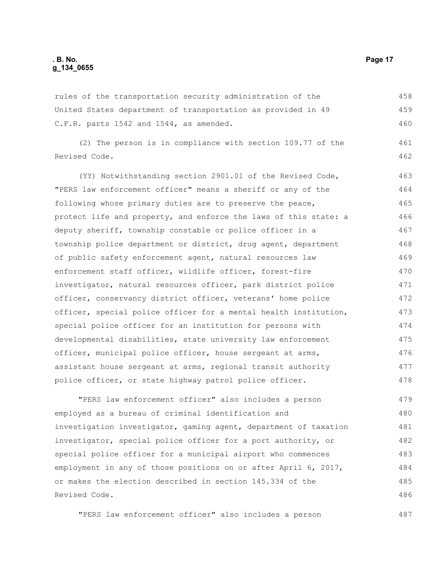rules of the transportation security administration of the United States department of transportation as provided in 49 C.F.R. parts 1542 and 1544, as amended. 458 459 460

(2) The person is in compliance with section 109.77 of the Revised Code. 461 462

(YY) Notwithstanding section 2901.01 of the Revised Code, "PERS law enforcement officer" means a sheriff or any of the following whose primary duties are to preserve the peace, protect life and property, and enforce the laws of this state: a deputy sheriff, township constable or police officer in a township police department or district, drug agent, department of public safety enforcement agent, natural resources law enforcement staff officer, wildlife officer, forest-fire investigator, natural resources officer, park district police officer, conservancy district officer, veterans' home police officer, special police officer for a mental health institution, special police officer for an institution for persons with developmental disabilities, state university law enforcement officer, municipal police officer, house sergeant at arms, assistant house sergeant at arms, regional transit authority police officer, or state highway patrol police officer. 463 464 465 466 467 468 469 470 471 472 473 474 475 476 477 478

"PERS law enforcement officer" also includes a person employed as a bureau of criminal identification and investigation investigator, gaming agent, department of taxation investigator, special police officer for a port authority, or special police officer for a municipal airport who commences employment in any of those positions on or after April 6, 2017, or makes the election described in section 145.334 of the Revised Code. 479 480 481 482 483 484 485 486

"PERS law enforcement officer" also includes a person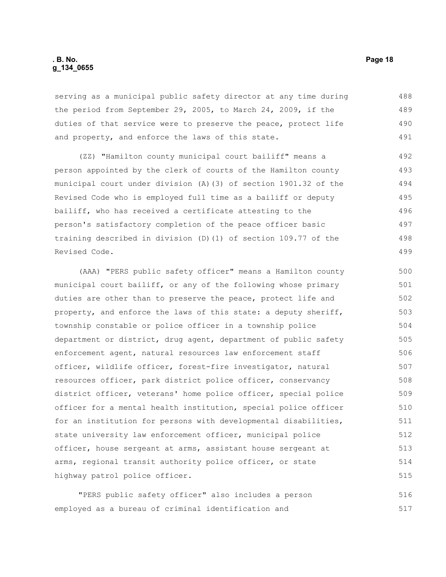#### **. B. No. Page 18 g\_134\_0655**

serving as a municipal public safety director at any time during the period from September 29, 2005, to March 24, 2009, if the duties of that service were to preserve the peace, protect life and property, and enforce the laws of this state. 488 489 490 491

(ZZ) "Hamilton county municipal court bailiff" means a person appointed by the clerk of courts of the Hamilton county municipal court under division (A)(3) of section 1901.32 of the Revised Code who is employed full time as a bailiff or deputy bailiff, who has received a certificate attesting to the person's satisfactory completion of the peace officer basic training described in division (D)(1) of section 109.77 of the Revised Code.

(AAA) "PERS public safety officer" means a Hamilton county municipal court bailiff, or any of the following whose primary duties are other than to preserve the peace, protect life and property, and enforce the laws of this state: a deputy sheriff, township constable or police officer in a township police department or district, drug agent, department of public safety enforcement agent, natural resources law enforcement staff officer, wildlife officer, forest-fire investigator, natural resources officer, park district police officer, conservancy district officer, veterans' home police officer, special police officer for a mental health institution, special police officer for an institution for persons with developmental disabilities, state university law enforcement officer, municipal police officer, house sergeant at arms, assistant house sergeant at arms, regional transit authority police officer, or state highway patrol police officer. 500 501 502 503 504 505 506 507 508 509 510 511 512 513 514 515

"PERS public safety officer" also includes a person employed as a bureau of criminal identification and 516 517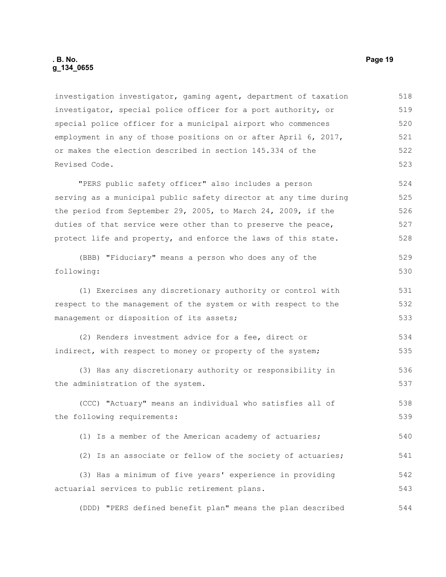investigation investigator, gaming agent, department of taxation investigator, special police officer for a port authority, or special police officer for a municipal airport who commences employment in any of those positions on or after April 6, 2017, or makes the election described in section 145.334 of the Revised Code. 518 519 520 521 522 523

"PERS public safety officer" also includes a person serving as a municipal public safety director at any time during the period from September 29, 2005, to March 24, 2009, if the duties of that service were other than to preserve the peace, protect life and property, and enforce the laws of this state. 524 525 526 527 528

```
(BBB) "Fiduciary" means a person who does any of the 
following:
                                                                              529
                                                                              530
```
(1) Exercises any discretionary authority or control with respect to the management of the system or with respect to the management or disposition of its assets; 531 532 533

(2) Renders investment advice for a fee, direct or indirect, with respect to money or property of the system; 534 535

(3) Has any discretionary authority or responsibility in the administration of the system. 536 537

(CCC) "Actuary" means an individual who satisfies all of the following requirements: 538 539

(1) Is a member of the American academy of actuaries; 540

(2) Is an associate or fellow of the society of actuaries; 541

(3) Has a minimum of five years' experience in providing actuarial services to public retirement plans. 542 543

(DDD) "PERS defined benefit plan" means the plan described 544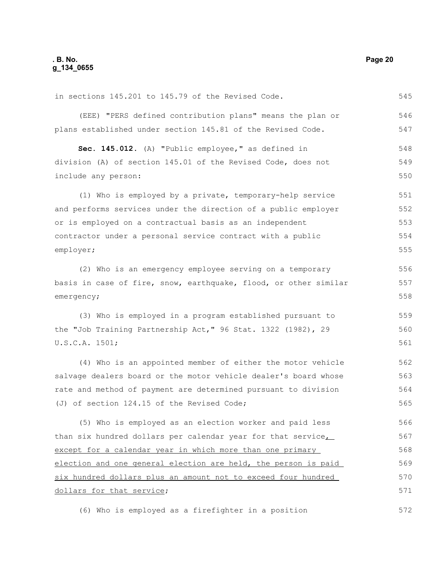in sections 145.201 to 145.79 of the Revised Code. 545

(EEE) "PERS defined contribution plans" means the plan or plans established under section 145.81 of the Revised Code. 546 547

**Sec. 145.012.** (A) "Public employee," as defined in division (A) of section 145.01 of the Revised Code, does not include any person: 548 549 550

(1) Who is employed by a private, temporary-help service and performs services under the direction of a public employer or is employed on a contractual basis as an independent contractor under a personal service contract with a public employer; 551 552 553 554 555

(2) Who is an emergency employee serving on a temporary basis in case of fire, snow, earthquake, flood, or other similar emergency;

(3) Who is employed in a program established pursuant to the "Job Training Partnership Act," 96 Stat. 1322 (1982), 29 U.S.C.A. 1501; 559 560 561

(4) Who is an appointed member of either the motor vehicle salvage dealers board or the motor vehicle dealer's board whose rate and method of payment are determined pursuant to division (J) of section 124.15 of the Revised Code; 562 563 564 565

(5) Who is employed as an election worker and paid less than six hundred dollars per calendar year for that service except for a calendar year in which more than one primary election and one general election are held, the person is paid six hundred dollars plus an amount not to exceed four hundred dollars for that service; 566 567 568 569 570 571

(6) Who is employed as a firefighter in a position

556 557 558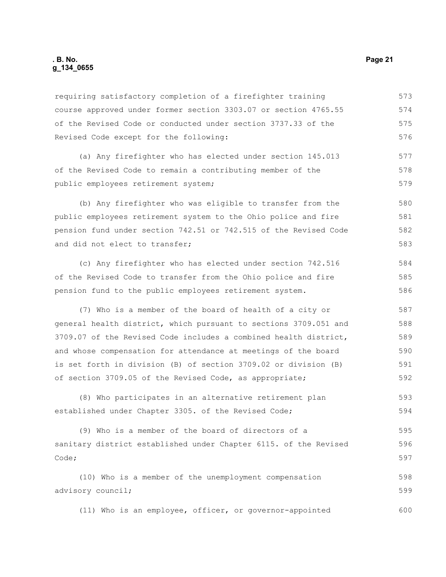requiring satisfactory completion of a firefighter training course approved under former section 3303.07 or section 4765.55 of the Revised Code or conducted under section 3737.33 of the Revised Code except for the following: (a) Any firefighter who has elected under section 145.013 of the Revised Code to remain a contributing member of the public employees retirement system; (b) Any firefighter who was eligible to transfer from the public employees retirement system to the Ohio police and fire pension fund under section 742.51 or 742.515 of the Revised Code and did not elect to transfer; (c) Any firefighter who has elected under section 742.516 of the Revised Code to transfer from the Ohio police and fire pension fund to the public employees retirement system. (7) Who is a member of the board of health of a city or general health district, which pursuant to sections 3709.051 and 3709.07 of the Revised Code includes a combined health district, and whose compensation for attendance at meetings of the board is set forth in division (B) of section 3709.02 or division (B) 573 574 575 576 577 578 579 580 581 582 583 584 585 586 587 588 589 590 591

(8) Who participates in an alternative retirement plan established under Chapter 3305. of the Revised Code; 593 594

of section 3709.05 of the Revised Code, as appropriate;

(9) Who is a member of the board of directors of a sanitary district established under Chapter 6115. of the Revised Code; 595 596 597

(10) Who is a member of the unemployment compensation advisory council; 598 599

(11) Who is an employee, officer, or governor-appointed 600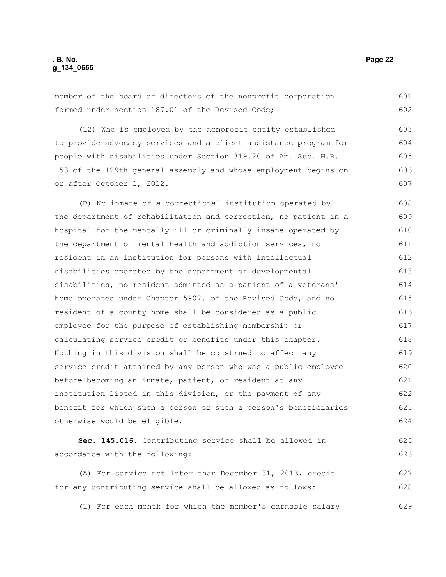### **. B. No. Page 22 g\_134\_0655**

member of the board of directors of the nonprofit corporation formed under section 187.01 of the Revised Code; (12) Who is employed by the nonprofit entity established to provide advocacy services and a client assistance program for people with disabilities under Section 319.20 of Am. Sub. H.B. 153 of the 129th general assembly and whose employment begins on or after October 1, 2012. (B) No inmate of a correctional institution operated by the department of rehabilitation and correction, no patient in a hospital for the mentally ill or criminally insane operated by the department of mental health and addiction services, no resident in an institution for persons with intellectual disabilities operated by the department of developmental disabilities, no resident admitted as a patient of a veterans' home operated under Chapter 5907. of the Revised Code, and no resident of a county home shall be considered as a public employee for the purpose of establishing membership or calculating service credit or benefits under this chapter. Nothing in this division shall be construed to affect any service credit attained by any person who was a public employee before becoming an inmate, patient, or resident at any institution listed in this division, or the payment of any benefit for which such a person or such a person's beneficiaries otherwise would be eligible. **Sec. 145.016.** Contributing service shall be allowed in accordance with the following: 601 602 603 604 605 606 607 608 609 610 611 612 613 614 615 616 617 618 619 620 621 622 623 624 625 626

(A) For service not later than December 31, 2013, credit for any contributing service shall be allowed as follows: 627 628

(1) For each month for which the member's earnable salary 629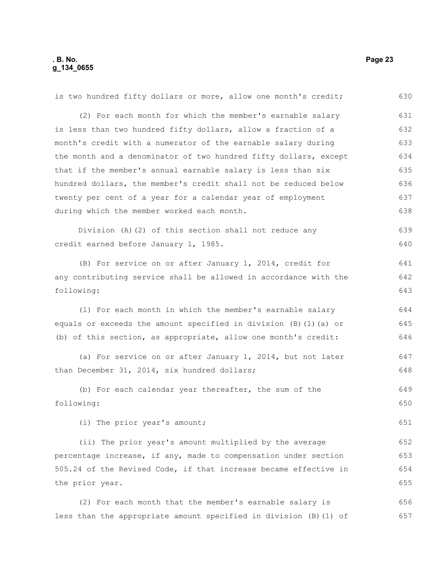| is two hundred fifty dollars or more, allow one month's credit;   | 630 |
|-------------------------------------------------------------------|-----|
| (2) For each month for which the member's earnable salary         | 631 |
| is less than two hundred fifty dollars, allow a fraction of a     | 632 |
| month's credit with a numerator of the earnable salary during     | 633 |
| the month and a denominator of two hundred fifty dollars, except  | 634 |
| that if the member's annual earnable salary is less than six      | 635 |
| hundred dollars, the member's credit shall not be reduced below   | 636 |
| twenty per cent of a year for a calendar year of employment       | 637 |
| during which the member worked each month.                        | 638 |
| Division (A) (2) of this section shall not reduce any             | 639 |
| credit earned before January 1, 1985.                             | 640 |
| (B) For service on or after January 1, 2014, credit for           | 641 |
| any contributing service shall be allowed in accordance with the  | 642 |
| following:                                                        | 643 |
| (1) For each month in which the member's earnable salary          | 644 |
| equals or exceeds the amount specified in division (B) (1) (a) or | 645 |
| (b) of this section, as appropriate, allow one month's credit:    | 646 |
| (a) For service on or after January 1, 2014, but not later        | 647 |
| than December 31, 2014, six hundred dollars;                      | 648 |
| (b) For each calendar year thereafter, the sum of the             | 649 |
| following:                                                        | 650 |
| (i) The prior year's amount;                                      | 651 |
| (ii) The prior year's amount multiplied by the average            | 652 |
| percentage increase, if any, made to compensation under section   | 653 |
| 505.24 of the Revised Code, if that increase became effective in  | 654 |
| the prior year.                                                   | 655 |
| (2) For each month that the member's earnable salary is           | 656 |
| less than the appropriate amount specified in division (B) (1) of | 657 |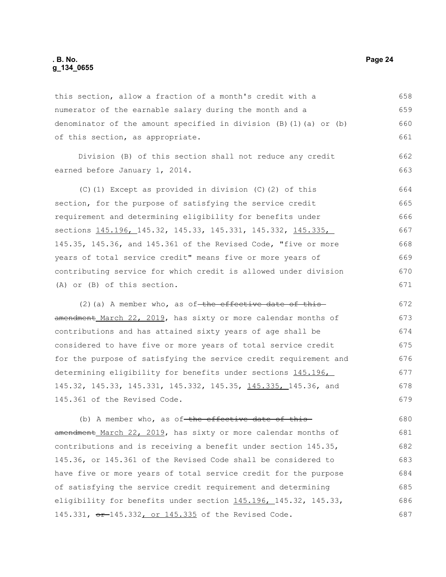#### **. B. No. Page 24 g\_134\_0655**

this section, allow a fraction of a month's credit with a numerator of the earnable salary during the month and a denominator of the amount specified in division (B)(1)(a) or (b) of this section, as appropriate. 658 659 660 661

Division (B) of this section shall not reduce any credit earned before January 1, 2014.

(C)(1) Except as provided in division (C)(2) of this section, for the purpose of satisfying the service credit requirement and determining eligibility for benefits under sections 145.196, 145.32, 145.33, 145.331, 145.332, 145.335, 145.35, 145.36, and 145.361 of the Revised Code, "five or more years of total service credit" means five or more years of contributing service for which credit is allowed under division (A) or (B) of this section. 664 665 666 667 668 669 670 671

(2)(a) A member who, as of-the effective date of thisamendment March 22, 2019, has sixty or more calendar months of contributions and has attained sixty years of age shall be considered to have five or more years of total service credit for the purpose of satisfying the service credit requirement and determining eligibility for benefits under sections 145.196, 145.32, 145.33, 145.331, 145.332, 145.35, 145.335, 145.36, and 145.361 of the Revised Code. 672 673 674 675 676 677 678 679

(b) A member who, as of-the effective date of thisamendment March 22, 2019, has sixty or more calendar months of contributions and is receiving a benefit under section 145.35, 145.36, or 145.361 of the Revised Code shall be considered to have five or more years of total service credit for the purpose of satisfying the service credit requirement and determining eligibility for benefits under section 145.196, 145.32, 145.33, 145.331, or 145.332, or 145.335 of the Revised Code. 680 681 682 683 684 685 686 687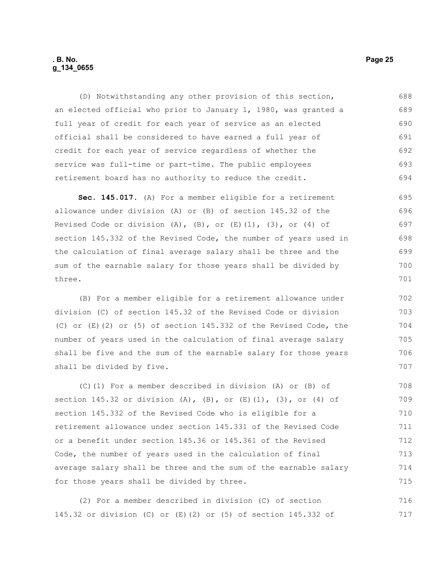#### **. B. No. Page 25 g\_134\_0655**

(D) Notwithstanding any other provision of this section, an elected official who prior to January 1, 1980, was granted a full year of credit for each year of service as an elected official shall be considered to have earned a full year of credit for each year of service regardless of whether the service was full-time or part-time. The public employees retirement board has no authority to reduce the credit. 688 689 690 691 692 693 694

**Sec. 145.017.** (A) For a member eligible for a retirement allowance under division (A) or (B) of section 145.32 of the Revised Code or division  $(A)$ ,  $(B)$ , or  $(E)$   $(1)$ ,  $(3)$ , or  $(4)$  of section 145.332 of the Revised Code, the number of years used in the calculation of final average salary shall be three and the sum of the earnable salary for those years shall be divided by three. 695 696 697 698 699 700 701

(B) For a member eligible for a retirement allowance under division (C) of section 145.32 of the Revised Code or division (C) or (E)(2) or (5) of section 145.332 of the Revised Code, the number of years used in the calculation of final average salary shall be five and the sum of the earnable salary for those years shall be divided by five.

(C)(1) For a member described in division (A) or (B) of section 145.32 or division (A), (B), or  $(E)(1)$ , (3), or (4) of section 145.332 of the Revised Code who is eligible for a retirement allowance under section 145.331 of the Revised Code or a benefit under section 145.36 or 145.361 of the Revised Code, the number of years used in the calculation of final average salary shall be three and the sum of the earnable salary for those years shall be divided by three. 708 709 710 711 712 713 714 715

(2) For a member described in division (C) of section 145.32 or division (C) or (E)(2) or (5) of section 145.332 of 716 717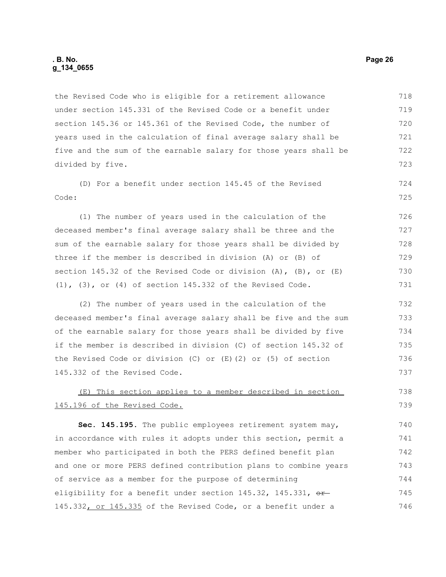#### **. B. No. Page 26 g\_134\_0655**

the Revised Code who is eligible for a retirement allowance under section 145.331 of the Revised Code or a benefit under section 145.36 or 145.361 of the Revised Code, the number of years used in the calculation of final average salary shall be five and the sum of the earnable salary for those years shall be divided by five. 718 719 720 721 722 723

(D) For a benefit under section 145.45 of the Revised Code:

(1) The number of years used in the calculation of the deceased member's final average salary shall be three and the sum of the earnable salary for those years shall be divided by three if the member is described in division (A) or (B) of section 145.32 of the Revised Code or division (A), (B), or (E) (1), (3), or (4) of section 145.332 of the Revised Code. 726 727 728 729 730 731

(2) The number of years used in the calculation of the deceased member's final average salary shall be five and the sum of the earnable salary for those years shall be divided by five if the member is described in division (C) of section 145.32 of the Revised Code or division (C) or (E)(2) or (5) of section 145.332 of the Revised Code.

#### (E) This section applies to a member described in section 145.196 of the Revised Code. 738 739

**Sec. 145.195.** The public employees retirement system may, in accordance with rules it adopts under this section, permit a member who participated in both the PERS defined benefit plan and one or more PERS defined contribution plans to combine years of service as a member for the purpose of determining eligibility for a benefit under section  $145.32$ ,  $145.331$ ,  $\sigma$ 145.332, or 145.335 of the Revised Code, or a benefit under a 740 741 742 743 744 745 746

724 725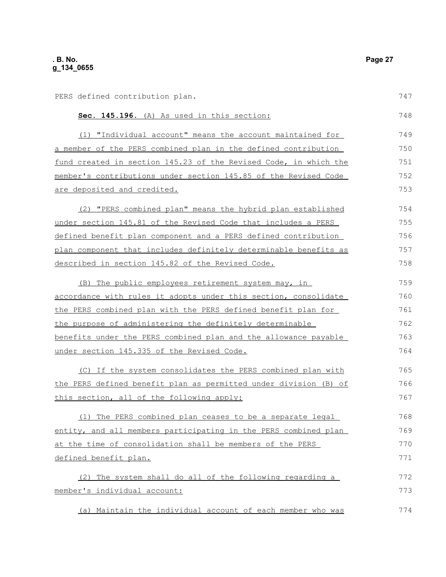| PERS defined contribution plan.                                         | 747 |
|-------------------------------------------------------------------------|-----|
| Sec. 145.196. (A) As used in this section:                              | 748 |
| (1) "Individual account" means the account maintained for               | 749 |
| a member of the PERS combined plan in the defined contribution          | 750 |
| fund created in section 145.23 of the Revised Code, in which the        | 751 |
| member's contributions under section 145.85 of the Revised Code         | 752 |
| are deposited and credited.                                             | 753 |
| (2) "PERS combined plan" means the hybrid plan established              | 754 |
| <u>under section 145.81 of the Revised Code that includes a PERS </u>   | 755 |
| defined benefit plan component and a PERS defined contribution          | 756 |
| <u>plan component that includes definitely determinable benefits as</u> | 757 |
| described in section 145.82 of the Revised Code.                        | 758 |
| (B) The public employees retirement system may, in                      | 759 |
| accordance with rules it adopts under this section, consolidate         | 760 |
| the PERS combined plan with the PERS defined benefit plan for           | 761 |
| the purpose of administering the definitely determinable                | 762 |
| <u>benefits under the PERS combined plan and the allowance payable</u>  | 763 |
| under section 145.335 of the Revised Code.                              | 764 |
| (C) If the system consolidates the PERS combined plan with              | 765 |
| the PERS defined benefit plan as permitted under division (B) of        | 766 |
| this section, all of the following apply:                               | 767 |
| (1) The PERS combined plan ceases to be a separate legal                | 768 |
| entity, and all members participating in the PERS combined plan         | 769 |
| at the time of consolidation shall be members of the PERS               | 770 |
| defined benefit plan.                                                   | 771 |
| (2) The system shall do all of the following regarding a                | 772 |
| member's individual account:                                            | 773 |
|                                                                         |     |

(a) Maintain the individual account of each member who was 774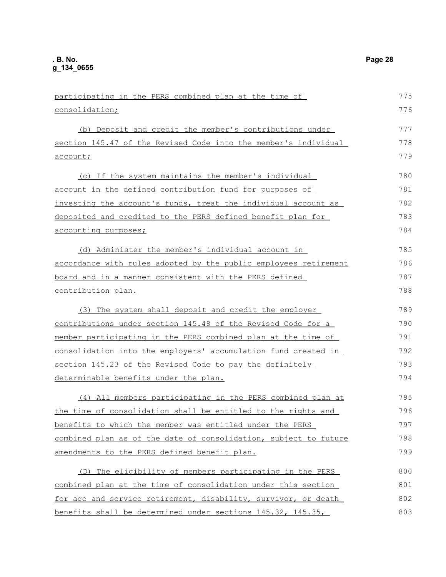| participating in the PERS combined plan at the time of           | 775 |
|------------------------------------------------------------------|-----|
| consolidation;                                                   | 776 |
| (b) Deposit and credit the member's contributions under          | 777 |
| section 145.47 of the Revised Code into the member's individual  | 778 |
| account;                                                         | 779 |
| (c) If the system maintains the member's individual              | 780 |
| account in the defined contribution fund for purposes of         | 781 |
| investing the account's funds, treat the individual account as   | 782 |
| deposited and credited to the PERS defined benefit plan for      | 783 |
| <u>accounting purposes;</u>                                      | 784 |
| (d) Administer the member's individual account in                | 785 |
| accordance with rules adopted by the public employees retirement | 786 |
| board and in a manner consistent with the PERS defined           | 787 |
| contribution plan.                                               | 788 |
| (3) The system shall deposit and credit the employer             | 789 |
| contributions under section 145.48 of the Revised Code for a     | 790 |
| member participating in the PERS combined plan at the time of    | 791 |
| consolidation into the employers' accumulation fund created in   | 792 |
| section 145.23 of the Revised Code to pay the definitely         | 793 |
| determinable benefits under the plan.                            | 794 |
| (4) All members participating in the PERS combined plan at       | 795 |
| the time of consolidation shall be entitled to the rights and    | 796 |
| benefits to which the member was entitled under the PERS         | 797 |
| combined plan as of the date of consolidation, subject to future | 798 |
| amendments to the PERS defined benefit plan.                     | 799 |
| (D) The eligibility of members participating in the PERS         | 800 |
| combined plan at the time of consolidation under this section    | 801 |
| for age and service retirement, disability, survivor, or death   | 802 |
| benefits shall be determined under sections 145.32, 145.35,      | 803 |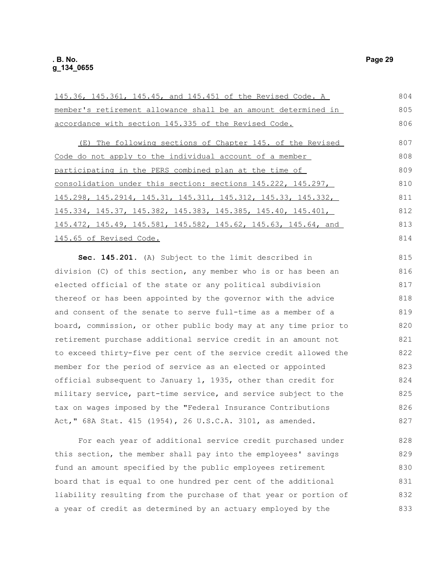| 145.36, 145.361, 145.45, and 145.451 of the Revised Code. A      | 804 |
|------------------------------------------------------------------|-----|
| member's retirement allowance shall be an amount determined in   | 805 |
| accordance with section 145.335 of the Revised Code.             | 806 |
| (E) The following sections of Chapter 145. of the Revised        | 807 |
| Code do not apply to the individual account of a member          | 808 |
| participating in the PERS combined plan at the time of           | 809 |
| consolidation under this section: sections 145.222, 145.297,     | 810 |
| $145.298$ , 145.2914, 145.31, 145.311, 145.312, 145.33, 145.332, | 811 |
| $145.334$ , 145.37, 145.382, 145.383, 145.385, 145.40, 145.401,  | 812 |
| 145.472, 145.49, 145.581, 145.582, 145.62, 145.63, 145.64, and   | 813 |
| 145.65 of Revised Code.                                          | 814 |
| Sec. 145.201. (A) Subject to the limit described in              | 815 |
| division (C) of this section, any member who is or has been an   | 816 |
| elected official of the state or any political subdivision       | 817 |
| thereof or has been appointed by the governor with the advice    | 818 |
| and consent of the senate to serve full-time as a member of a    | 819 |
| board, commission, or other public body may at any time prior to | 820 |
| retirement purchase additional service credit in an amount not   | 821 |

retirement purchase additional service credit in an amount not to exceed thirty-five per cent of the service credit allowed the member for the period of service as an elected or appointed official subsequent to January 1, 1935, other than credit for military service, part-time service, and service subject to the tax on wages imposed by the "Federal Insurance Contributions Act," 68A Stat. 415 (1954), 26 U.S.C.A. 3101, as amended. 821 822 823 824 825 826 827

For each year of additional service credit purchased under this section, the member shall pay into the employees' savings fund an amount specified by the public employees retirement board that is equal to one hundred per cent of the additional liability resulting from the purchase of that year or portion of a year of credit as determined by an actuary employed by the 828 829 830 831 832 833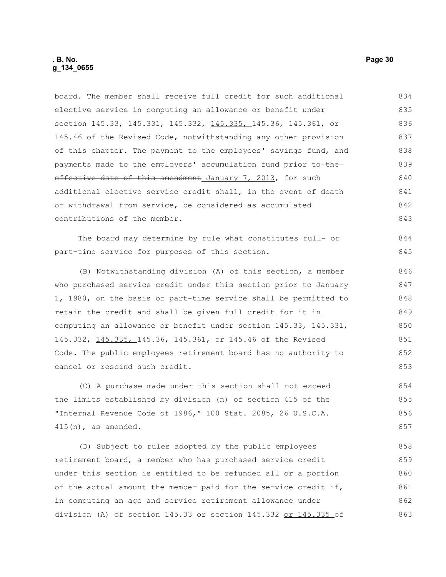| elective service in computing an allowance or benefit under                 | 835 |
|-----------------------------------------------------------------------------|-----|
| section 145.33, 145.331, 145.332, 145.335, 145.36, 145.361, or              | 836 |
| 145.46 of the Revised Code, notwithstanding any other provision             | 837 |
| of this chapter. The payment to the employees' savings fund, and            | 838 |
| payments made to the employers' accumulation fund prior to <del>-the-</del> | 839 |
| effective date of this amendment January 7, 2013, for such                  | 840 |
| additional elective service credit shall, in the event of death             | 841 |
| or withdrawal from service, be considered as accumulated                    | 842 |
| contributions of the member.                                                | 843 |
| The board may determine by rule what constitutes full- or                   | 844 |
| part-time service for purposes of this section.                             | 845 |
| (B) Notwithstanding division (A) of this section, a member                  | 846 |
| who purchased service credit under this section prior to January            | 847 |
| 1, 1980, on the basis of part-time service shall be permitted to            | 848 |
| retain the credit and shall be given full credit for it in                  | 849 |
| computing an allowance or benefit under section 145.33, 145.331,            | 850 |
| 145.332, 145.335, 145.36, 145.361, or 145.46 of the Revised                 | 851 |
| Code. The public employees retirement board has no authority to             | 852 |
| cancel or rescind such credit.                                              | 853 |
| (C) A purchase made under this section shall not exceed                     | 854 |
| the limits established by division (n) of section 415 of the                | 855 |
| "Internal Revenue Code of 1986," 100 Stat. 2085, 26 U.S.C.A.                | 856 |
| $415(n)$ , as amended.                                                      | 857 |
| (D) Subject to rules adopted by the public employees                        | 858 |
| retirement board, a member who has purchased service credit                 | 859 |
| under this section is entitled to be refunded all or a portion              | 860 |

board. The member shall receive full credit for such additional 834

of the actual amount the member paid for the service credit if, in computing an age and service retirement allowance under division (A) of section 145.33 or section 145.332 or 145.335 of 861 862 863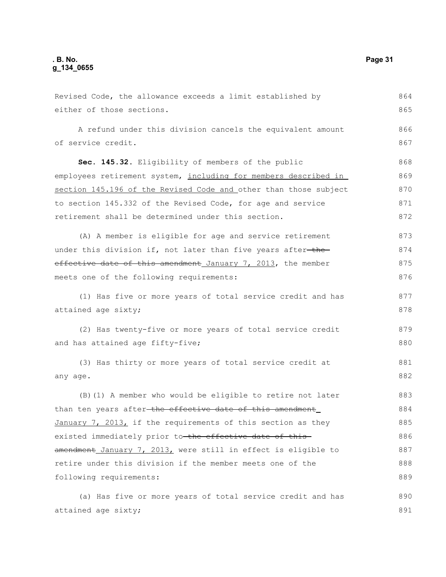Revised Code, the allowance exceeds a limit established by either of those sections. A refund under this division cancels the equivalent amount of service credit. **Sec. 145.32.** Eligibility of members of the public employees retirement system, including for members described in section 145.196 of the Revised Code and other than those subject to section 145.332 of the Revised Code, for age and service retirement shall be determined under this section. (A) A member is eligible for age and service retirement under this division if, not later than five years after-theeffective date of this amendment January 7, 2013, the member meets one of the following requirements: (1) Has five or more years of total service credit and has attained age sixty; (2) Has twenty-five or more years of total service credit and has attained age fifty-five; (3) Has thirty or more years of total service credit at any age. (B)(1) A member who would be eligible to retire not later than ten years after the effective date of this amendment January 7, 2013, if the requirements of this section as they existed immediately prior to the effective date of this amendment January 7, 2013, were still in effect is eligible to retire under this division if the member meets one of the following requirements: (a) Has five or more years of total service credit and has 864 865 866 867 868 869 870 871 872 873 874 875 876 877 878 879 880 881 882 883 884 885 886 887 888 889 890

attained age sixty;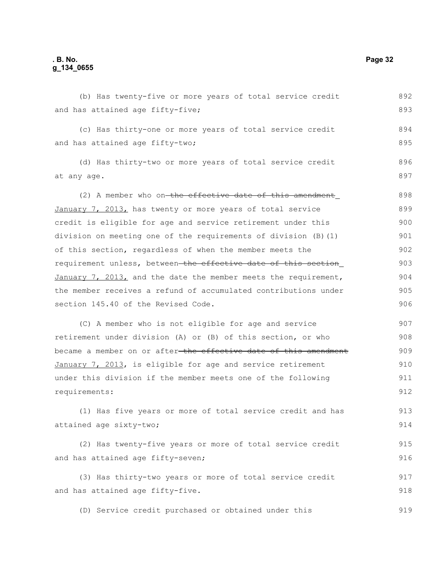| (b) Has twenty-five or more years of total service credit        | 892 |
|------------------------------------------------------------------|-----|
| and has attained age fifty-five;                                 | 893 |
| (c) Has thirty-one or more years of total service credit         | 894 |
| and has attained age fifty-two;                                  | 895 |
| (d) Has thirty-two or more years of total service credit         | 896 |
| at any age.                                                      | 897 |
| (2) A member who on-the effective date of this amendment         | 898 |
| January 7, 2013, has twenty or more years of total service       | 899 |
| credit is eligible for age and service retirement under this     | 900 |
| division on meeting one of the requirements of division (B) (1)  | 901 |
| of this section, regardless of when the member meets the         | 902 |
| requirement unless, between the effective date of this section   | 903 |
| January 7, 2013, and the date the member meets the requirement,  | 904 |
| the member receives a refund of accumulated contributions under  | 905 |
| section 145.40 of the Revised Code.                              | 906 |
| (C) A member who is not eligible for age and service             | 907 |
| retirement under division (A) or (B) of this section, or who     | 908 |
| became a member on or after-the effective date of this amendment | 909 |
| January 7, 2013, is eligible for age and service retirement      | 910 |
| under this division if the member meets one of the following     | 911 |
| requirements:                                                    | 912 |
| (1) Has five years or more of total service credit and has       | 913 |
| attained age sixty-two;                                          | 914 |
| (2) Has twenty-five years or more of total service credit        | 915 |
| and has attained age fifty-seven;                                | 916 |
| (3) Has thirty-two years or more of total service credit         | 917 |
| and has attained age fifty-five.                                 | 918 |
| (D) Service credit purchased or obtained under this              | 919 |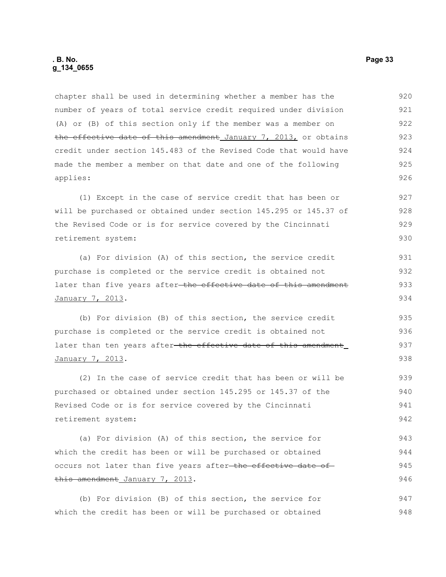chapter shall be used in determining whether a member has the number of years of total service credit required under division (A) or (B) of this section only if the member was a member on the effective date of this amendment January 7, 2013, or obtains credit under section 145.483 of the Revised Code that would have made the member a member on that date and one of the following applies: 920 921 922 923 924 925 926

(1) Except in the case of service credit that has been or will be purchased or obtained under section 145.295 or 145.37 of the Revised Code or is for service covered by the Cincinnati retirement system: 927 928 929 930

(a) For division (A) of this section, the service credit purchase is completed or the service credit is obtained not later than five years after the effective date of this amendment January 7, 2013. 931 932 933 934

(b) For division (B) of this section, the service credit purchase is completed or the service credit is obtained not later than ten years after the effective date of this amendment January 7, 2013. 935 936 937 938

(2) In the case of service credit that has been or will be purchased or obtained under section 145.295 or 145.37 of the Revised Code or is for service covered by the Cincinnati retirement system: 939 940 941 942

(a) For division (A) of this section, the service for which the credit has been or will be purchased or obtained occurs not later than five years after-the effective date ofthis amendment January 7, 2013. 943 944 945 946

(b) For division (B) of this section, the service for which the credit has been or will be purchased or obtained 947 948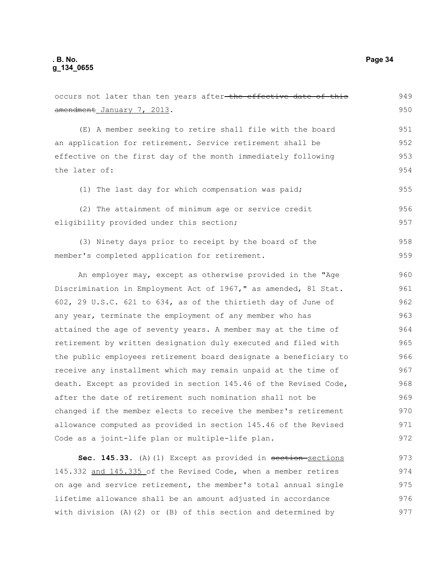occurs not later than ten years after-the effective date of this amendment January 7, 2013. (E) A member seeking to retire shall file with the board an application for retirement. Service retirement shall be effective on the first day of the month immediately following the later of: (1) The last day for which compensation was paid; (2) The attainment of minimum age or service credit eligibility provided under this section; (3) Ninety days prior to receipt by the board of the member's completed application for retirement. An employer may, except as otherwise provided in the "Age Discrimination in Employment Act of 1967," as amended, 81 Stat. 602, 29 U.S.C. 621 to 634, as of the thirtieth day of June of any year, terminate the employment of any member who has attained the age of seventy years. A member may at the time of retirement by written designation duly executed and filed with the public employees retirement board designate a beneficiary to receive any installment which may remain unpaid at the time of death. Except as provided in section 145.46 of the Revised Code, after the date of retirement such nomination shall not be changed if the member elects to receive the member's retirement allowance computed as provided in section 145.46 of the Revised Code as a joint-life plan or multiple-life plan. **Sec. 145.33.** (A)(1) Except as provided in section-sections 145.332 and 145.335 of the Revised Code, when a member retires on age and service retirement, the member's total annual single 949 950 951 952 953 954 955 956 957 958 959 960 961 962 963 964 965 966 967 968 969 970 971 972 973 974 975

lifetime allowance shall be an amount adjusted in accordance with division (A)(2) or (B) of this section and determined by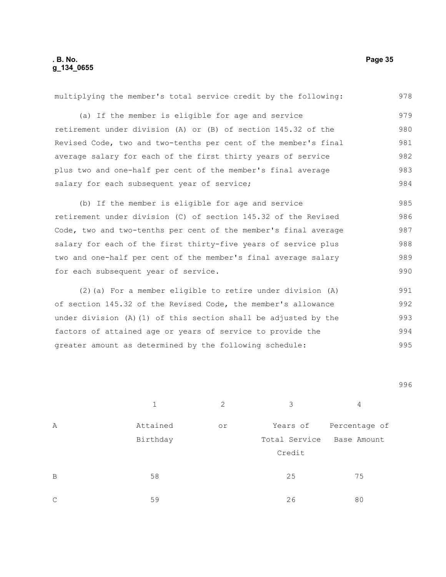## **. B. No. Page 35 g\_134\_0655**

| multiplying the member's total service credit by the following:   | 978 |
|-------------------------------------------------------------------|-----|
| (a) If the member is eligible for age and service                 | 979 |
| retirement under division (A) or (B) of section 145.32 of the     | 980 |
| Revised Code, two and two-tenths per cent of the member's final   | 981 |
| average salary for each of the first thirty years of service      | 982 |
| plus two and one-half per cent of the member's final average      | 983 |
| salary for each subsequent year of service;                       | 984 |
| (b) If the member is eligible for age and service                 | 985 |
| retirement under division (C) of section 145.32 of the Revised    | 986 |
| Code, two and two-tenths per cent of the member's final average   | 987 |
| salary for each of the first thirty-five years of service plus    | 988 |
| two and one-half per cent of the member's final average salary    | 989 |
| for each subsequent year of service.                              | 990 |
| (2) (a) For a member eligible to retire under division (A)        | 991 |
| of section 145.32 of the Revised Code, the member's allowance     | 992 |
| under division $(A) (1)$ of this section shall be adjusted by the | 993 |
| factors of attained age or years of service to provide the        | 994 |
| greater amount as determined by the following schedule:           | 995 |
|                                                                   |     |
|                                                                   | QQG |

996

| Α              | Attained | or | Years of      | Percentage of |
|----------------|----------|----|---------------|---------------|
|                | Birthday |    | Total Service | Base Amount   |
|                |          |    | Credit        |               |
|                |          |    |               |               |
| $\overline{B}$ | 58       |    | 25            | 75            |
| C              | 59       |    | 26            | 80            |

1  $2$  3 4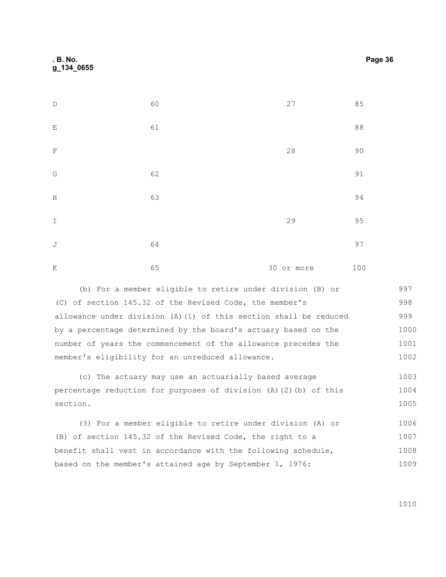| $\mathbb D$                                 | 60 | $27$       | 85     |
|---------------------------------------------|----|------------|--------|
| $\mathbf E$                                 | 61 |            | $8\,8$ |
| $\mathbf F$                                 |    | $2\,8$     | $90$   |
| $\mathbb{G}% _{M_{1},M_{2}}^{\alpha,\beta}$ | 62 |            | 91     |
| $\mathbf H$                                 | 63 |            | 94     |
| $\mathbbm{I}$                               |    | 29         | 95     |
| $\mathbb J$                                 | 64 |            | 97     |
| $\rm K$                                     | 65 | 30 or more | 100    |

(b) For a member eligible to retire under division (B) or (C) of section 145.32 of the Revised Code, the member's allowance under division (A)(1) of this section shall be reduced by a percentage determined by the board's actuary based on the number of years the commencement of the allowance precedes the member's eligibility for an unreduced allowance. 997 998 999 1000 1001 1002

(c) The actuary may use an actuarially based average percentage reduction for purposes of division (A)(2)(b) of this section. 1003 1004 1005

(3) For a member eligible to retire under division (A) or (B) of section 145.32 of the Revised Code, the right to a benefit shall vest in accordance with the following schedule, based on the member's attained age by September 1, 1976: 1006 1007 1008 1009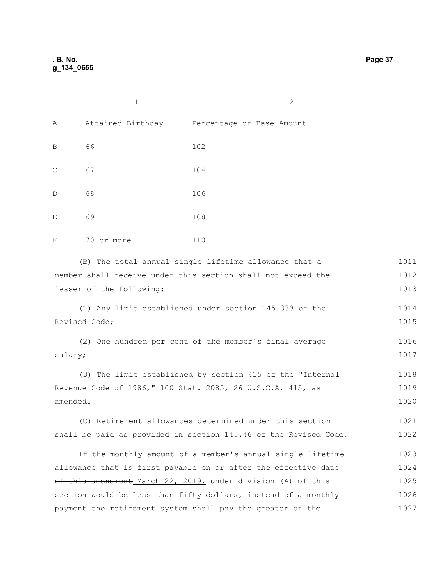|             | $\mathbf{1}$      | $\mathbf{2}$              |
|-------------|-------------------|---------------------------|
| Α           | Attained Birthday | Percentage of Base Amount |
| B           | 66                | 102                       |
| $\mathsf C$ | 67                | 104                       |
| $\mathbb D$ | 68                | 106                       |
| Ε           | 69                | 108                       |
| F           | 70 or more        | 110                       |

(B) The total annual single lifetime allowance that a member shall receive under this section shall not exceed the lesser of the following: 1011 1012 1013

(1) Any limit established under section 145.333 of the Revised Code; 1014 1015

(2) One hundred per cent of the member's final average salary; 1016 1017

(3) The limit established by section 415 of the "Internal Revenue Code of 1986," 100 Stat. 2085, 26 U.S.C.A. 415, as amended. 1018 1019 1020

(C) Retirement allowances determined under this section shall be paid as provided in section 145.46 of the Revised Code. 1021 1022

If the monthly amount of a member's annual single lifetime allowance that is first payable on or after-the effective dateof this amendment March 22, 2019, under division (A) of this section would be less than fifty dollars, instead of a monthly payment the retirement system shall pay the greater of the 1023 1024 1025 1026 1027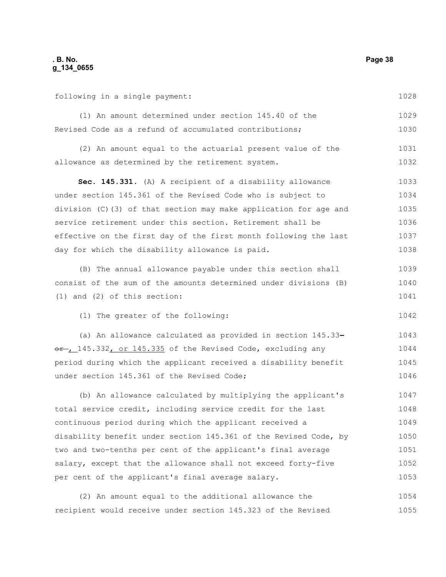following in a single payment:

1028

1042

(1) An amount determined under section 145.40 of the Revised Code as a refund of accumulated contributions; 1029 1030

(2) An amount equal to the actuarial present value of the allowance as determined by the retirement system. 1031 1032

**Sec. 145.331.** (A) A recipient of a disability allowance under section 145.361 of the Revised Code who is subject to division (C)(3) of that section may make application for age and service retirement under this section. Retirement shall be effective on the first day of the first month following the last day for which the disability allowance is paid. 1033 1034 1035 1036 1037 1038

(B) The annual allowance payable under this section shall consist of the sum of the amounts determined under divisions (B) (1) and (2) of this section: 1039 1040 1041

(1) The greater of the following:

(a) An allowance calculated as provided in section 145.33  $or$  145.332, or 145.335 of the Revised Code, excluding any period during which the applicant received a disability benefit under section 145.361 of the Revised Code; 1043 1044 1045 1046

(b) An allowance calculated by multiplying the applicant's total service credit, including service credit for the last continuous period during which the applicant received a disability benefit under section 145.361 of the Revised Code, by two and two-tenths per cent of the applicant's final average salary, except that the allowance shall not exceed forty-five per cent of the applicant's final average salary. 1047 1048 1049 1050 1051 1052 1053

(2) An amount equal to the additional allowance the recipient would receive under section 145.323 of the Revised 1054 1055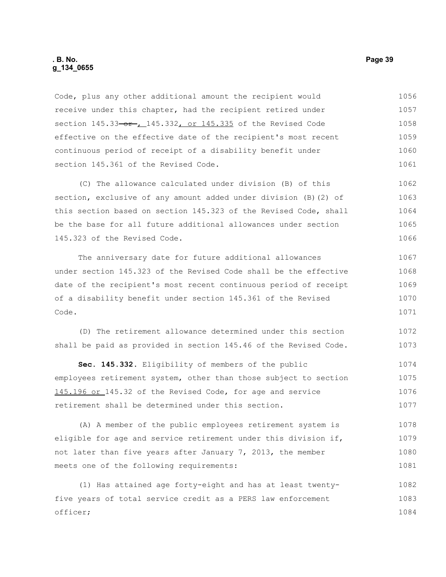### **. B. No. Page 39 g\_134\_0655**

Code, plus any other additional amount the recipient would receive under this chapter, had the recipient retired under section  $145.33 - 0r$ ,  $145.332$ , or  $145.335$  of the Revised Code effective on the effective date of the recipient's most recent continuous period of receipt of a disability benefit under section 145.361 of the Revised Code. 1056 1057 1058 1059 1060 1061

(C) The allowance calculated under division (B) of this section, exclusive of any amount added under division (B)(2) of this section based on section 145.323 of the Revised Code, shall be the base for all future additional allowances under section 145.323 of the Revised Code. 1062 1063 1064 1065 1066

The anniversary date for future additional allowances under section 145.323 of the Revised Code shall be the effective date of the recipient's most recent continuous period of receipt of a disability benefit under section 145.361 of the Revised Code. 1067 1068 1069 1070 1071

(D) The retirement allowance determined under this section shall be paid as provided in section 145.46 of the Revised Code. 1072 1073

**Sec. 145.332.** Eligibility of members of the public employees retirement system, other than those subject to section 145.196 or 145.32 of the Revised Code, for age and service retirement shall be determined under this section. 1074 1075 1076 1077

(A) A member of the public employees retirement system is eligible for age and service retirement under this division if, not later than five years after January 7, 2013, the member meets one of the following requirements: 1078 1079 1080 1081

(1) Has attained age forty-eight and has at least twentyfive years of total service credit as a PERS law enforcement officer; 1082 1083 1084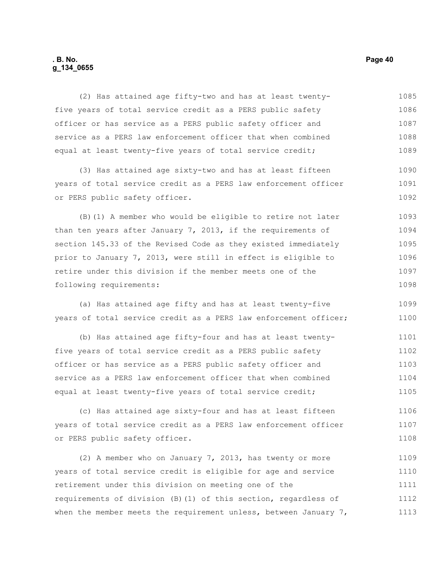### **. B. No. Page 40 g\_134\_0655**

(2) Has attained age fifty-two and has at least twentyfive years of total service credit as a PERS public safety officer or has service as a PERS public safety officer and service as a PERS law enforcement officer that when combined equal at least twenty-five years of total service credit; 1085 1086 1087 1088 1089

(3) Has attained age sixty-two and has at least fifteen years of total service credit as a PERS law enforcement officer or PERS public safety officer. 1090 1091 1092

(B)(1) A member who would be eligible to retire not later than ten years after January 7, 2013, if the requirements of section 145.33 of the Revised Code as they existed immediately prior to January 7, 2013, were still in effect is eligible to retire under this division if the member meets one of the following requirements: 1093 1094 1095 1096 1097 1098

(a) Has attained age fifty and has at least twenty-five years of total service credit as a PERS law enforcement officer; 1099 1100

(b) Has attained age fifty-four and has at least twentyfive years of total service credit as a PERS public safety officer or has service as a PERS public safety officer and service as a PERS law enforcement officer that when combined equal at least twenty-five years of total service credit; 1101 1102 1103 1104 1105

(c) Has attained age sixty-four and has at least fifteen years of total service credit as a PERS law enforcement officer or PERS public safety officer. 1106 1107 1108

(2) A member who on January 7, 2013, has twenty or more years of total service credit is eligible for age and service retirement under this division on meeting one of the requirements of division (B)(1) of this section, regardless of when the member meets the requirement unless, between January 7, 1109 1110 1111 1112 1113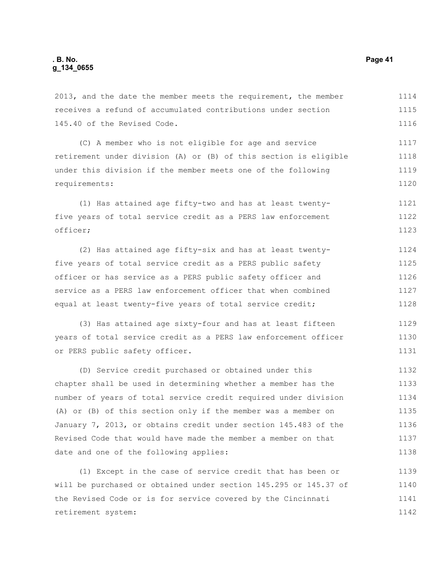2013, and the date the member meets the requirement, the member receives a refund of accumulated contributions under section 145.40 of the Revised Code. (C) A member who is not eligible for age and service retirement under division (A) or (B) of this section is eligible under this division if the member meets one of the following requirements: (1) Has attained age fifty-two and has at least twentyfive years of total service credit as a PERS law enforcement officer; (2) Has attained age fifty-six and has at least twentyfive years of total service credit as a PERS public safety officer or has service as a PERS public safety officer and service as a PERS law enforcement officer that when combined equal at least twenty-five years of total service credit; (3) Has attained age sixty-four and has at least fifteen years of total service credit as a PERS law enforcement officer or PERS public safety officer. (D) Service credit purchased or obtained under this chapter shall be used in determining whether a member has the number of years of total service credit required under division (A) or (B) of this section only if the member was a member on January 7, 2013, or obtains credit under section 145.483 of the Revised Code that would have made the member a member on that 1114 1115 1116 1117 1118 1119 1120 1121 1122 1123 1124 1125 1126 1127 1128 1129 1130 1131 1132 1133 1134 1135 1136 1137

(1) Except in the case of service credit that has been or will be purchased or obtained under section 145.295 or 145.37 of the Revised Code or is for service covered by the Cincinnati retirement system: 1139 1140 1141 1142

date and one of the following applies: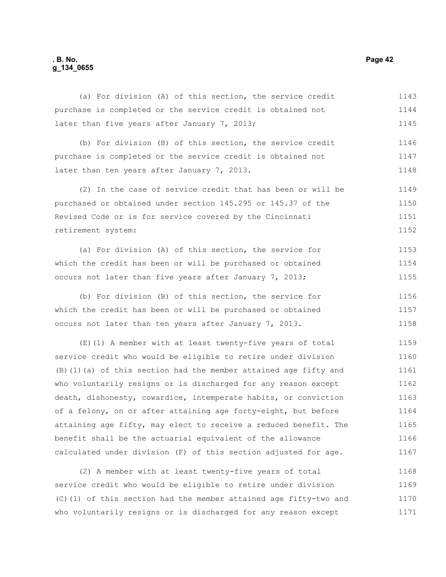## **. B. No. Page 42 g\_134\_0655**

| purchase is completed or the service credit is obtained not  | 1144 |
|--------------------------------------------------------------|------|
| later than five years after January 7, 2013;                 | 1145 |
| (b) For division (B) of this section, the service credit     | 1146 |
| purchase is completed or the service credit is obtained not  | 1147 |
| later than ten years after January 7, 2013.                  | 1148 |
| (2) In the case of service credit that has been or will be   | 1149 |
| purchased or obtained under section 145.295 or 145.37 of the | 1150 |
| Revised Code or is for service covered by the Cincinnati     | 1151 |
| retirement system:                                           | 1152 |
| (a) For division (A) of this section, the service for        | 1153 |
| which the credit has been or will be purchased or obtained   | 1154 |
| occurs not later than five years after January 7, 2013;      | 1155 |
| (b) For division (B) of this section, the service for        | 1156 |
| which the credit has been or will be purchased or obtained   | 1157 |
| occurs not later than ten years after January 7, 2013.       | 1158 |

(a) For division (A) of this section, the service credit

(E)(1) A member with at least twenty-five years of total service credit who would be eligible to retire under division (B)(1)(a) of this section had the member attained age fifty and who voluntarily resigns or is discharged for any reason except death, dishonesty, cowardice, intemperate habits, or conviction of a felony, on or after attaining age forty-eight, but before attaining age fifty, may elect to receive a reduced benefit. The benefit shall be the actuarial equivalent of the allowance calculated under division (F) of this section adjusted for age. 1159 1160 1161 1162 1163 1164 1165 1166 1167

(2) A member with at least twenty-five years of total service credit who would be eligible to retire under division (C)(1) of this section had the member attained age fifty-two and who voluntarily resigns or is discharged for any reason except 1168 1169 1170 1171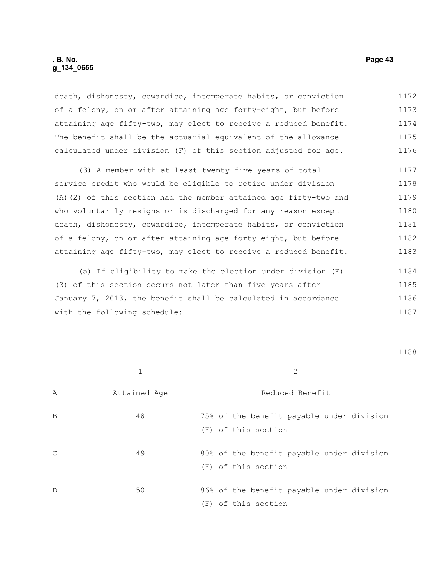death, dishonesty, cowardice, intemperate habits, or conviction of a felony, on or after attaining age forty-eight, but before attaining age fifty-two, may elect to receive a reduced benefit. The benefit shall be the actuarial equivalent of the allowance calculated under division (F) of this section adjusted for age. 1172 1173 1174 1175 1176

(3) A member with at least twenty-five years of total service credit who would be eligible to retire under division (A)(2) of this section had the member attained age fifty-two and who voluntarily resigns or is discharged for any reason except death, dishonesty, cowardice, intemperate habits, or conviction of a felony, on or after attaining age forty-eight, but before attaining age fifty-two, may elect to receive a reduced benefit. 1177 1178 1179 1180 1181 1182 1183

(a) If eligibility to make the election under division (E) (3) of this section occurs not later than five years after January 7, 2013, the benefit shall be calculated in accordance with the following schedule: 1184 1185 1186 1187

|               |              | 2                                                                |
|---------------|--------------|------------------------------------------------------------------|
| Α             | Attained Age | Reduced Benefit                                                  |
| B             | 48           | 75% of the benefit payable under division<br>(F) of this section |
| $\mathcal{C}$ | 49           | 80% of the benefit payable under division<br>(F) of this section |
| $\mathbb D$   | 50           | 86% of the benefit payable under division<br>(F) of this section |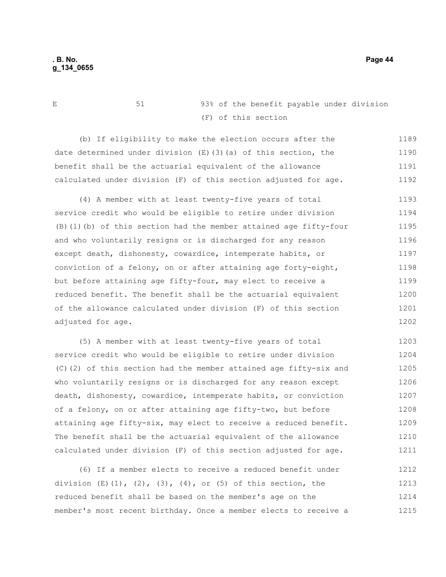E 51 93% of the benefit payable under division (F) of this section

(b) If eligibility to make the election occurs after the date determined under division  $(E)$  (3)(a) of this section, the benefit shall be the actuarial equivalent of the allowance calculated under division (F) of this section adjusted for age. 1189 1190 1191 1192

(4) A member with at least twenty-five years of total service credit who would be eligible to retire under division (B)(1)(b) of this section had the member attained age fifty-four and who voluntarily resigns or is discharged for any reason except death, dishonesty, cowardice, intemperate habits, or conviction of a felony, on or after attaining age forty-eight, but before attaining age fifty-four, may elect to receive a reduced benefit. The benefit shall be the actuarial equivalent of the allowance calculated under division (F) of this section adjusted for age. 1193 1194 1195 1196 1197 1198 1199 1200 1201 1202

(5) A member with at least twenty-five years of total service credit who would be eligible to retire under division (C)(2) of this section had the member attained age fifty-six and who voluntarily resigns or is discharged for any reason except death, dishonesty, cowardice, intemperate habits, or conviction of a felony, on or after attaining age fifty-two, but before attaining age fifty-six, may elect to receive a reduced benefit. The benefit shall be the actuarial equivalent of the allowance calculated under division (F) of this section adjusted for age. 1203 1204 1205 1206 1207 1208 1209 1210 1211

(6) If a member elects to receive a reduced benefit under division  $(E)$ (1), (2), (3), (4), or (5) of this section, the reduced benefit shall be based on the member's age on the member's most recent birthday. Once a member elects to receive a 1212 1213 1214 1215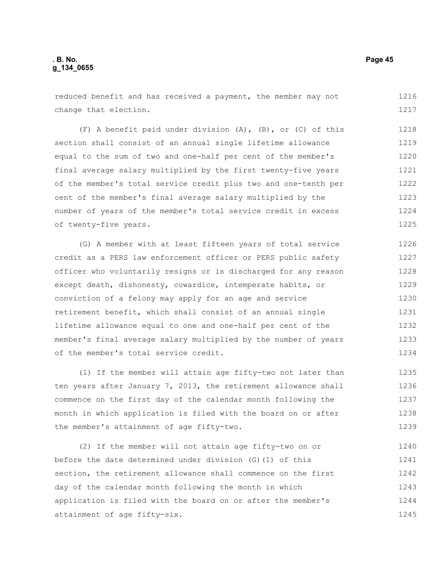reduced benefit and has received a payment, the member may not change that election. 1216 1217

(F) A benefit paid under division (A), (B), or (C) of this section shall consist of an annual single lifetime allowance equal to the sum of two and one-half per cent of the member's final average salary multiplied by the first twenty-five years of the member's total service credit plus two and one-tenth per cent of the member's final average salary multiplied by the number of years of the member's total service credit in excess of twenty-five years. 1218 1219 1220 1221 1222 1223 1224 1225

(G) A member with at least fifteen years of total service credit as a PERS law enforcement officer or PERS public safety officer who voluntarily resigns or is discharged for any reason except death, dishonesty, cowardice, intemperate habits, or conviction of a felony may apply for an age and service retirement benefit, which shall consist of an annual single lifetime allowance equal to one and one-half per cent of the member's final average salary multiplied by the number of years of the member's total service credit. 1226 1227 1228 1230 1231 1232 1233 1234

(1) If the member will attain age fifty-two not later than ten years after January 7, 2013, the retirement allowance shall commence on the first day of the calendar month following the month in which application is filed with the board on or after the member's attainment of age fifty-two. 1235 1236 1237 1238 1239

(2) If the member will not attain age fifty-two on or before the date determined under division (G)(1) of this section, the retirement allowance shall commence on the first day of the calendar month following the month in which application is filed with the board on or after the member's attainment of age fifty-six. 1240 1241 1242 1243 1244 1245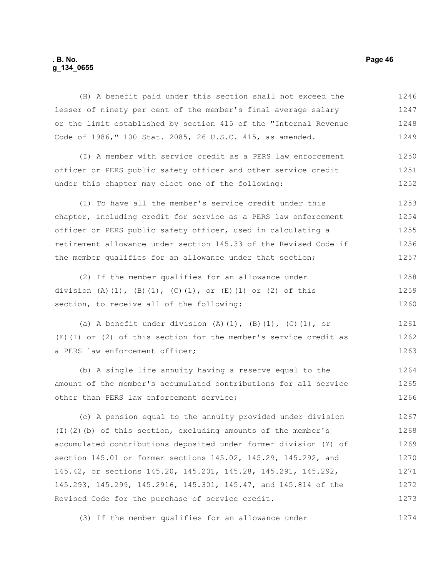## **. B. No. Page 46 g\_134\_0655**

(H) A benefit paid under this section shall not exceed the lesser of ninety per cent of the member's final average salary or the limit established by section 415 of the "Internal Revenue Code of 1986," 100 Stat. 2085, 26 U.S.C. 415, as amended. (I) A member with service credit as a PERS law enforcement officer or PERS public safety officer and other service credit under this chapter may elect one of the following: (1) To have all the member's service credit under this chapter, including credit for service as a PERS law enforcement officer or PERS public safety officer, used in calculating a retirement allowance under section 145.33 of the Revised Code if the member qualifies for an allowance under that section; (2) If the member qualifies for an allowance under division  $(A) (1)$ ,  $(B) (1)$ ,  $(C) (1)$ , or  $(E) (1)$  or  $(2)$  of this section, to receive all of the following: (a) A benefit under division  $(A)$ (1),  $(B)$ (1),  $(C)$ (1), or (E)(1) or (2) of this section for the member's service credit as a PERS law enforcement officer; (b) A single life annuity having a reserve equal to the amount of the member's accumulated contributions for all service other than PERS law enforcement service; (c) A pension equal to the annuity provided under division (I)(2)(b) of this section, excluding amounts of the member's accumulated contributions deposited under former division (Y) of section 145.01 or former sections 145.02, 145.29, 145.292, and 145.42, or sections 145.20, 145.201, 145.28, 145.291, 145.292, 145.293, 145.299, 145.2916, 145.301, 145.47, and 145.814 of the 1246 1247 1248 1249 1250 1251 1252 1253 1254 1255 1256 1257 1258 1259 1260 1261 1262 1263 1264 1265 1266 1267 1268 1269 1270 1271 1272

(3) If the member qualifies for an allowance under 1274

Revised Code for the purchase of service credit.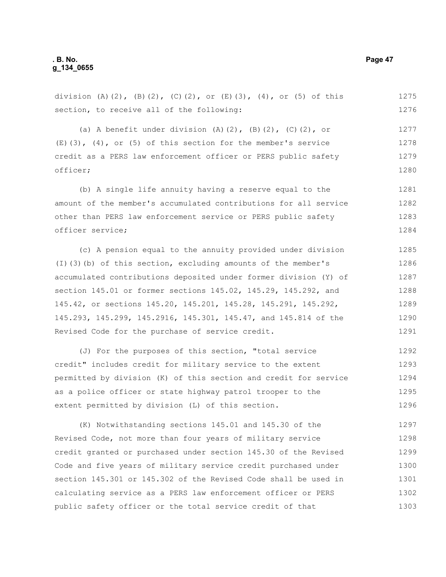## **. B. No. Page 47 g\_134\_0655**

division (A)(2), (B)(2), (C)(2), or (E)(3), (4), or (5) of this section, to receive all of the following: 1275 1276

(a) A benefit under division  $(A)$ (2),  $(B)$ (2),  $(C)$ (2), or  $(E)(3)$ ,  $(4)$ , or  $(5)$  of this section for the member's service credit as a PERS law enforcement officer or PERS public safety officer; 1277 1278 1279 1280

(b) A single life annuity having a reserve equal to the amount of the member's accumulated contributions for all service other than PERS law enforcement service or PERS public safety officer service; 1281 1282 1283 1284

(c) A pension equal to the annuity provided under division (I)(3)(b) of this section, excluding amounts of the member's accumulated contributions deposited under former division (Y) of section 145.01 or former sections 145.02, 145.29, 145.292, and 145.42, or sections 145.20, 145.201, 145.28, 145.291, 145.292, 145.293, 145.299, 145.2916, 145.301, 145.47, and 145.814 of the Revised Code for the purchase of service credit. 1285 1286 1287 1288 1289 1290 1291

(J) For the purposes of this section, "total service credit" includes credit for military service to the extent permitted by division (K) of this section and credit for service as a police officer or state highway patrol trooper to the extent permitted by division (L) of this section. 1292 1293 1294 1295 1296

(K) Notwithstanding sections 145.01 and 145.30 of the Revised Code, not more than four years of military service credit granted or purchased under section 145.30 of the Revised Code and five years of military service credit purchased under section 145.301 or 145.302 of the Revised Code shall be used in calculating service as a PERS law enforcement officer or PERS public safety officer or the total service credit of that 1297 1298 1299 1300 1301 1302 1303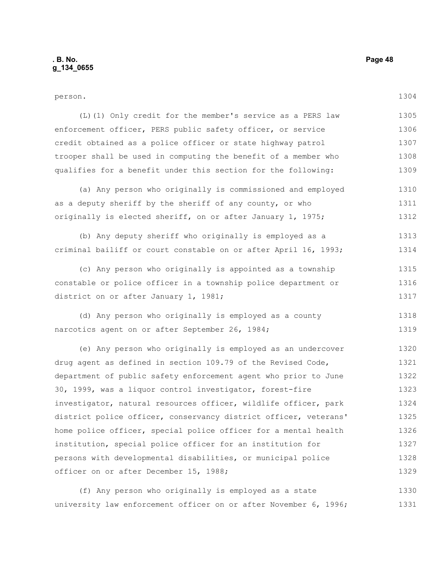# person.

| (L) (1) Only credit for the member's service as a PERS law       | 1305 |
|------------------------------------------------------------------|------|
| enforcement officer, PERS public safety officer, or service      | 1306 |
| credit obtained as a police officer or state highway patrol      | 1307 |
| trooper shall be used in computing the benefit of a member who   | 1308 |
| qualifies for a benefit under this section for the following:    | 1309 |
| (a) Any person who originally is commissioned and employed       | 1310 |
| as a deputy sheriff by the sheriff of any county, or who         | 1311 |
| originally is elected sheriff, on or after January 1, 1975;      | 1312 |
| (b) Any deputy sheriff who originally is employed as a           | 1313 |
| criminal bailiff or court constable on or after April 16, 1993;  | 1314 |
| (c) Any person who originally is appointed as a township         | 1315 |
| constable or police officer in a township police department or   | 1316 |
| district on or after January 1, 1981;                            | 1317 |
| (d) Any person who originally is employed as a county            | 1318 |
| narcotics agent on or after September 26, 1984;                  | 1319 |
| (e) Any person who originally is employed as an undercover       | 1320 |
| drug agent as defined in section 109.79 of the Revised Code,     | 1321 |
| department of public safety enforcement agent who prior to June  | 1322 |
| 30, 1999, was a liquor control investigator, forest-fire         | 1323 |
| investigator, natural resources officer, wildlife officer, park  | 1324 |
| district police officer, conservancy district officer, veterans' | 1325 |

home police officer, special police officer for a mental health institution, special police officer for an institution for persons with developmental disabilities, or municipal police officer on or after December 15, 1988; 1326 1327 1328 1329

(f) Any person who originally is employed as a state university law enforcement officer on or after November 6, 1996; 1330 1331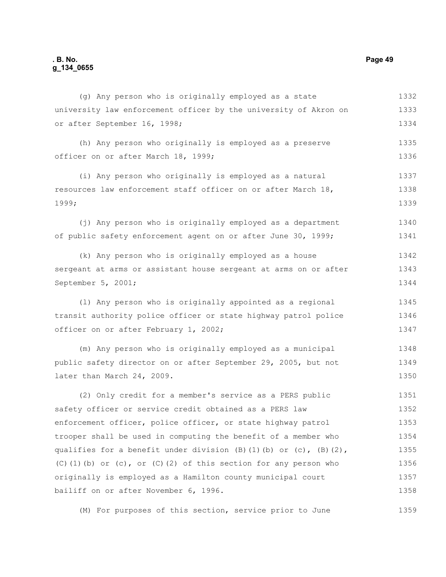## **. B. No. Page 49 g\_134\_0655**

university law enforcement officer by the university of Akron on or after September 16, 1998; (h) Any person who originally is employed as a preserve officer on or after March 18, 1999; (i) Any person who originally is employed as a natural resources law enforcement staff officer on or after March 18, 1999; (j) Any person who is originally employed as a department of public safety enforcement agent on or after June 30, 1999; (k) Any person who is originally employed as a house sergeant at arms or assistant house sergeant at arms on or after September 5, 2001; (l) Any person who is originally appointed as a regional transit authority police officer or state highway patrol police officer on or after February 1, 2002; (m) Any person who is originally employed as a municipal public safety director on or after September 29, 2005, but not later than March 24, 2009. (2) Only credit for a member's service as a PERS public safety officer or service credit obtained as a PERS law enforcement officer, police officer, or state highway patrol trooper shall be used in computing the benefit of a member who qualifies for a benefit under division  $(B)$  (1)(b) or (c),  $(B)$  (2), 1333 1334 1335 1336 1337 1338 1339 1340 1341 1342 1343 1344 1345 1346 1347 1348 1349 1350 1351 1352 1353 1354 1355

(g) Any person who is originally employed as a state

originally is employed as a Hamilton county municipal court bailiff on or after November 6, 1996. 1357 1358

(M) For purposes of this section, service prior to June

(C)(1)(b) or  $(c)$ , or  $(C)$ (2) of this section for any person who

1332

1356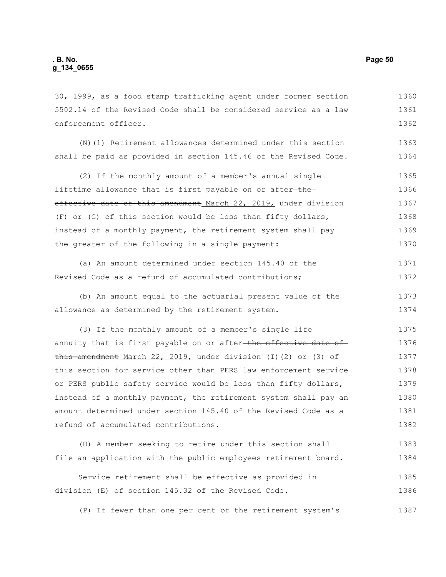30, 1999, as a food stamp trafficking agent under former section 5502.14 of the Revised Code shall be considered service as a law enforcement officer. 1360 1361 1362

(N)(1) Retirement allowances determined under this section shall be paid as provided in section 145.46 of the Revised Code. 1363 1364

(2) If the monthly amount of a member's annual single lifetime allowance that is first payable on or after-theeffective date of this amendment March 22, 2019, under division (F) or (G) of this section would be less than fifty dollars, instead of a monthly payment, the retirement system shall pay the greater of the following in a single payment: 1365 1366 1367 1368 1369 1370

(a) An amount determined under section 145.40 of the Revised Code as a refund of accumulated contributions; 1371 1372

(b) An amount equal to the actuarial present value of the allowance as determined by the retirement system. 1373 1374

(3) If the monthly amount of a member's single life annuity that is first payable on or after the effective date of this amendment March 22, 2019, under division (I)(2) or (3) of this section for service other than PERS law enforcement service or PERS public safety service would be less than fifty dollars, instead of a monthly payment, the retirement system shall pay an amount determined under section 145.40 of the Revised Code as a refund of accumulated contributions. 1375 1376 1377 1378 1379 1380 1381 1382

(O) A member seeking to retire under this section shall file an application with the public employees retirement board. 1383 1384

Service retirement shall be effective as provided in division (E) of section 145.32 of the Revised Code. 1385 1386

(P) If fewer than one per cent of the retirement system's 1387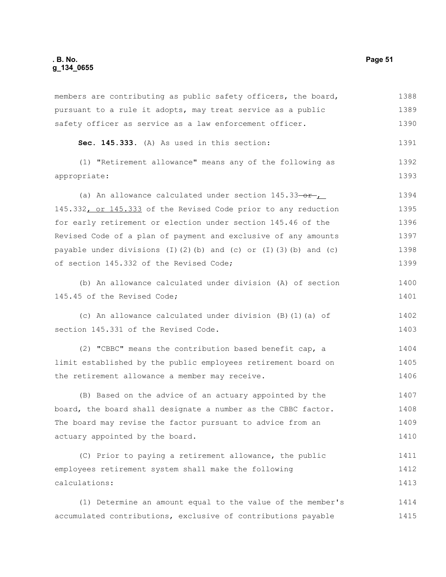## **. B. No. Page 51 g\_134\_0655**

| members are contributing as public safety officers, the board,                     | 1388 |
|------------------------------------------------------------------------------------|------|
| pursuant to a rule it adopts, may treat service as a public                        | 1389 |
| safety officer as service as a law enforcement officer.                            | 1390 |
| Sec. 145.333. (A) As used in this section:                                         | 1391 |
| (1) "Retirement allowance" means any of the following as                           | 1392 |
| appropriate:                                                                       | 1393 |
| (a) An allowance calculated under section $145.33\rightarrow r$                    | 1394 |
| 145.332, or 145.333 of the Revised Code prior to any reduction                     | 1395 |
| for early retirement or election under section 145.46 of the                       | 1396 |
| Revised Code of a plan of payment and exclusive of any amounts                     | 1397 |
| payable under divisions $(I)$ $(2)$ $(b)$ and $(c)$ or $(I)$ $(3)$ $(b)$ and $(c)$ | 1398 |
| of section 145.332 of the Revised Code;                                            | 1399 |
| (b) An allowance calculated under division (A) of section                          | 1400 |
| 145.45 of the Revised Code;                                                        | 1401 |
| (c) An allowance calculated under division (B) (1) (a) of                          | 1402 |
| section 145.331 of the Revised Code.                                               | 1403 |
| (2) "CBBC" means the contribution based benefit cap, a                             | 1404 |
| limit established by the public employees retirement board on                      | 1405 |
| the retirement allowance a member may receive.                                     | 1406 |
| (B) Based on the advice of an actuary appointed by the                             | 1407 |
| board, the board shall designate a number as the CBBC factor.                      | 1408 |
| The board may revise the factor pursuant to advice from an                         | 1409 |
| actuary appointed by the board.                                                    | 1410 |
| (C) Prior to paying a retirement allowance, the public                             | 1411 |
| employees retirement system shall make the following                               | 1412 |
| calculations:                                                                      | 1413 |
| (1) Determine an amount equal to the value of the member's                         | 1414 |
| accumulated contributions, exclusive of contributions payable                      | 1415 |
|                                                                                    |      |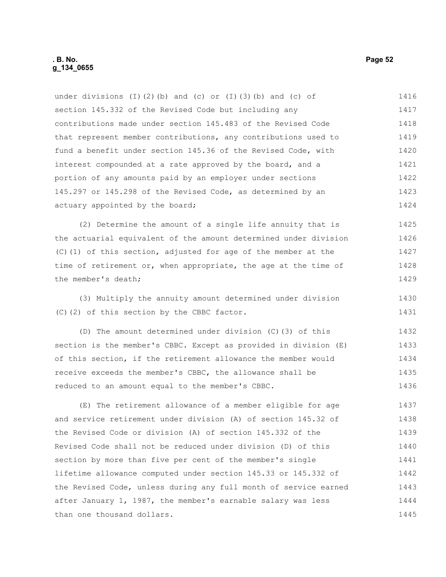| under divisions (I)(2)(b) and (c) or (I)(3)(b) and (c) of        | 1416 |
|------------------------------------------------------------------|------|
| section 145.332 of the Revised Code but including any            | 1417 |
| contributions made under section 145.483 of the Revised Code     | 1418 |
| that represent member contributions, any contributions used to   | 1419 |
| fund a benefit under section 145.36 of the Revised Code, with    | 1420 |
| interest compounded at a rate approved by the board, and a       | 1421 |
| portion of any amounts paid by an employer under sections        | 1422 |
| 145.297 or 145.298 of the Revised Code, as determined by an      | 1423 |
| actuary appointed by the board;                                  | 1424 |
| (2) Determine the amount of a single life annuity that is        | 1425 |
| the actuarial equivalent of the amount determined under division | 1426 |
| (C)(1) of this section, adjusted for age of the member at the    | 1427 |
| time of retirement or, when appropriate, the age at the time of  | 1428 |
| the member's death;                                              | 1429 |
| (3) Multiply the annuity amount determined under division        | 1430 |
| (C)(2) of this section by the CBBC factor.                       | 1431 |
| (D) The amount determined under division (C) (3) of this         | 1432 |
| section is the member's CBBC. Except as provided in division (E) | 1433 |
| of this section, if the retirement allowance the member would    | 1434 |
| receive exceeds the member's CBBC, the allowance shall be        | 1435 |
| reduced to an amount equal to the member's CBBC.                 | 1436 |
|                                                                  |      |

(E) The retirement allowance of a member eligible for age and service retirement under division (A) of section 145.32 of the Revised Code or division (A) of section 145.332 of the Revised Code shall not be reduced under division (D) of this section by more than five per cent of the member's single lifetime allowance computed under section 145.33 or 145.332 of the Revised Code, unless during any full month of service earned after January 1, 1987, the member's earnable salary was less than one thousand dollars. 1437 1438 1439 1440 1441 1442 1443 1444 1445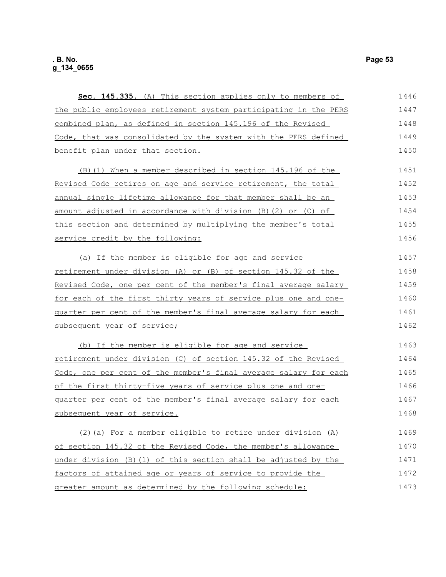| Sec. 145.335. (A) This section applies only to members of        | 1446 |
|------------------------------------------------------------------|------|
| the public employees retirement system participating in the PERS | 1447 |
| combined plan, as defined in section 145.196 of the Revised      | 1448 |
| Code, that was consolidated by the system with the PERS defined  | 1449 |
| benefit plan under that section.                                 | 1450 |
| (B) (1) When a member described in section 145.196 of the        | 1451 |
| Revised Code retires on age and service retirement, the total    | 1452 |
| annual single lifetime allowance for that member shall be an     | 1453 |
| amount adjusted in accordance with division (B) (2) or (C) of    | 1454 |
| this section and determined by multiplying the member's total    | 1455 |
| service credit by the following:                                 | 1456 |
| (a) If the member is eligible for age and service                | 1457 |
| retirement under division (A) or (B) of section 145.32 of the    | 1458 |
| Revised Code, one per cent of the member's final average salary  | 1459 |
| for each of the first thirty years of service plus one and one-  | 1460 |
| quarter per cent of the member's final average salary for each   | 1461 |
| subsequent year of service;                                      | 1462 |
| (b) If the member is eligible for age and service                | 1463 |
| retirement under division (C) of section 145.32 of the Revised   | 1464 |
| Code, one per cent of the member's final average salary for each | 1465 |
| of the first thirty-five years of service plus one and one-      | 1466 |
| guarter per cent of the member's final average salary for each   | 1467 |
| subsequent year of service.                                      | 1468 |
| (2) (a) For a member eligible to retire under division (A)       | 1469 |
| of section 145.32 of the Revised Code, the member's allowance    | 1470 |
| under division (B) (1) of this section shall be adjusted by the  | 1471 |
| factors of attained age or years of service to provide the       | 1472 |
| greater amount as determined by the following schedule:          | 1473 |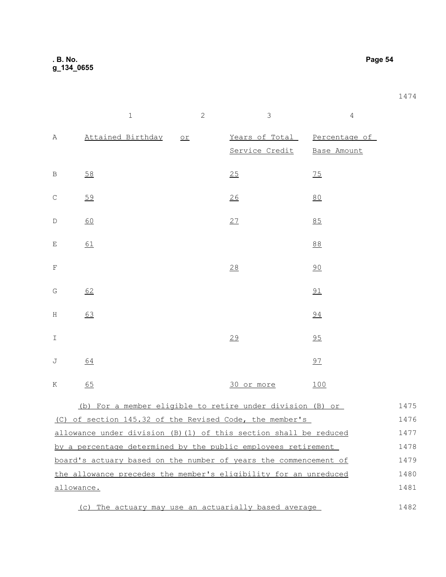**. B. No. Page 54 g\_134\_0655**

|               | $\,1\,$           | $\overline{2}$ | $\mathfrak{Z}$ | $\sqrt{4}$                                  |
|---------------|-------------------|----------------|----------------|---------------------------------------------|
| Α             | Attained Birthday | or             | Service Credit | Years of Total Percentage of<br>Base Amount |
| B             | 58                |                | 25             | 75                                          |
| $\mathsf{C}$  | 59                |                | 26             | 80                                          |
| $\mathbf D$   | 60                |                | 27             | $85$                                        |
| E             | $\underline{61}$  |                |                | 88                                          |
| F             |                   |                | 28             | 90                                          |
| G             | 62                |                |                | 91                                          |
| Η             | 63                |                |                | 94                                          |
| $\mathbbm{I}$ |                   |                | 29             | 95                                          |
| J             | 64                |                |                | 97                                          |
| K             | 65                |                | 30 or more     | 100                                         |
|               |                   |                |                |                                             |

(b) For a member eligible to retire under division (B) or (C) of section 145.32 of the Revised Code, the member's allowance under division (B)(1) of this section shall be reduced by a percentage determined by the public employees retirement board's actuary based on the number of years the commencement of the allowance precedes the member's eligibility for an unreduced allowance. 1475 1476 1477 1478 1479 1480 1481

(c) The actuary may use an actuarially based average 1482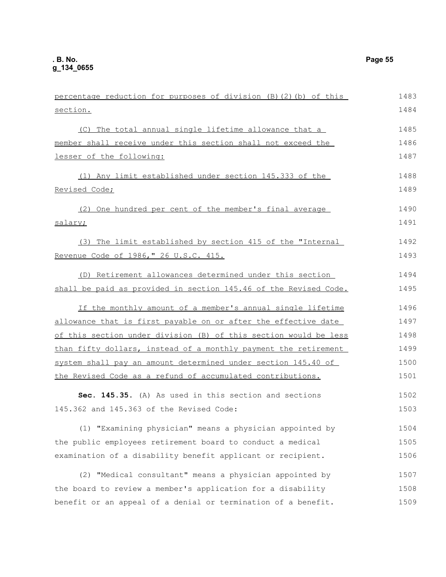| percentage reduction for purposes of division (B) (2) (b) of this | 1483 |
|-------------------------------------------------------------------|------|
| section.                                                          | 1484 |
| (C) The total annual single lifetime allowance that a             | 1485 |
| member shall receive under this section shall not exceed the      | 1486 |
| lesser of the following:                                          | 1487 |
| (1) Any limit established under section 145.333 of the            | 1488 |
| Revised Code;                                                     | 1489 |
| (2) One hundred per cent of the member's final average            | 1490 |
| salary;                                                           | 1491 |
| (3) The limit established by section 415 of the "Internal         | 1492 |
| Revenue Code of 1986," 26 U.S.C. 415.                             | 1493 |
| (D) Retirement allowances determined under this section           | 1494 |
| shall be paid as provided in section 145.46 of the Revised Code.  | 1495 |
| If the monthly amount of a member's annual single lifetime        | 1496 |
| allowance that is first payable on or after the effective date    | 1497 |
| of this section under division (B) of this section would be less  | 1498 |
| than fifty dollars, instead of a monthly payment the retirement   | 1499 |
| system shall pay an amount determined under section 145.40 of     | 1500 |
| the Revised Code as a refund of accumulated contributions.        | 1501 |
| Sec. 145.35. (A) As used in this section and sections             | 1502 |
| 145.362 and 145.363 of the Revised Code:                          | 1503 |
| (1) "Examining physician" means a physician appointed by          | 1504 |
| the public employees retirement board to conduct a medical        | 1505 |
| examination of a disability benefit applicant or recipient.       | 1506 |
| (2) "Medical consultant" means a physician appointed by           | 1507 |
| the board to review a member's application for a disability       | 1508 |
| benefit or an appeal of a denial or termination of a benefit.     | 1509 |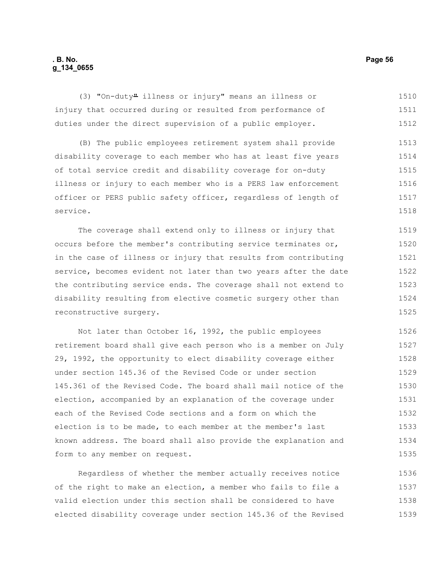### **. B. No. Page 56 g\_134\_0655**

(3) "On-duty" illness or injury" means an illness or injury that occurred during or resulted from performance of duties under the direct supervision of a public employer. 1510 1511 1512

(B) The public employees retirement system shall provide disability coverage to each member who has at least five years of total service credit and disability coverage for on-duty illness or injury to each member who is a PERS law enforcement officer or PERS public safety officer, regardless of length of service. 1513 1514 1515 1516 1517 1518

The coverage shall extend only to illness or injury that occurs before the member's contributing service terminates or, in the case of illness or injury that results from contributing service, becomes evident not later than two years after the date the contributing service ends. The coverage shall not extend to disability resulting from elective cosmetic surgery other than reconstructive surgery. 1519 1520 1521 1522 1523 1524 1525

Not later than October 16, 1992, the public employees retirement board shall give each person who is a member on July 29, 1992, the opportunity to elect disability coverage either under section 145.36 of the Revised Code or under section 145.361 of the Revised Code. The board shall mail notice of the election, accompanied by an explanation of the coverage under each of the Revised Code sections and a form on which the election is to be made, to each member at the member's last known address. The board shall also provide the explanation and form to any member on request. 1526 1527 1528 1529 1530 1531 1532 1533 1534 1535

Regardless of whether the member actually receives notice of the right to make an election, a member who fails to file a valid election under this section shall be considered to have elected disability coverage under section 145.36 of the Revised 1536 1537 1538 1539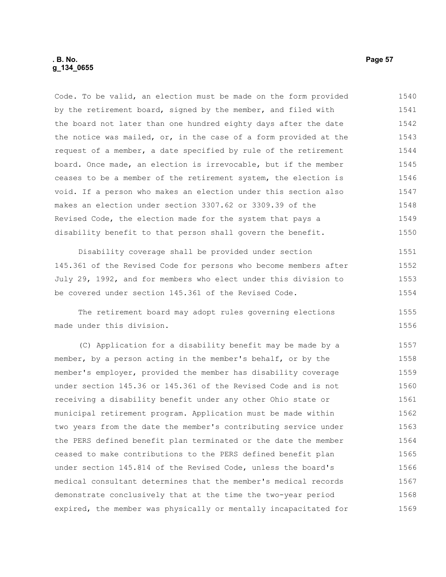Code. To be valid, an election must be made on the form provided by the retirement board, signed by the member, and filed with the board not later than one hundred eighty days after the date the notice was mailed, or, in the case of a form provided at the request of a member, a date specified by rule of the retirement board. Once made, an election is irrevocable, but if the member ceases to be a member of the retirement system, the election is void. If a person who makes an election under this section also makes an election under section 3307.62 or 3309.39 of the Revised Code, the election made for the system that pays a disability benefit to that person shall govern the benefit. 1540 1541 1542 1543 1544 1545 1546 1547 1548 1549 1550

Disability coverage shall be provided under section 145.361 of the Revised Code for persons who become members after July 29, 1992, and for members who elect under this division to be covered under section 145.361 of the Revised Code. 1551 1552 1553 1554

The retirement board may adopt rules governing elections made under this division.

(C) Application for a disability benefit may be made by a member, by a person acting in the member's behalf, or by the member's employer, provided the member has disability coverage under section 145.36 or 145.361 of the Revised Code and is not receiving a disability benefit under any other Ohio state or municipal retirement program. Application must be made within two years from the date the member's contributing service under the PERS defined benefit plan terminated or the date the member ceased to make contributions to the PERS defined benefit plan under section 145.814 of the Revised Code, unless the board's medical consultant determines that the member's medical records demonstrate conclusively that at the time the two-year period expired, the member was physically or mentally incapacitated for 1557 1558 1559 1560 1561 1562 1563 1564 1565 1566 1567 1568 1569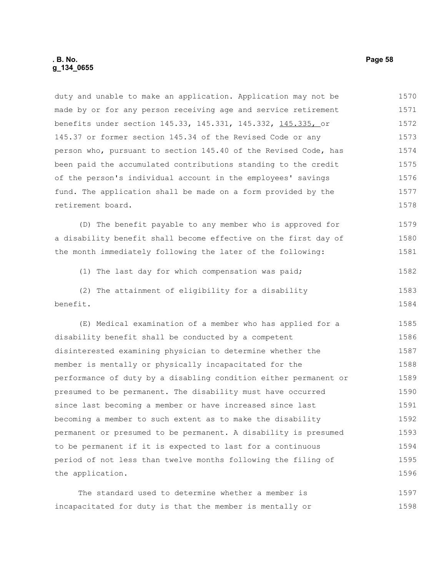duty and unable to make an application. Application may not be made by or for any person receiving age and service retirement benefits under section 145.33, 145.331, 145.332, 145.335, or 145.37 or former section 145.34 of the Revised Code or any person who, pursuant to section 145.40 of the Revised Code, has been paid the accumulated contributions standing to the credit of the person's individual account in the employees' savings fund. The application shall be made on a form provided by the retirement board. 1570 1571 1572 1573 1574 1575 1576 1577 1578

(D) The benefit payable to any member who is approved for a disability benefit shall become effective on the first day of the month immediately following the later of the following: 1579 1580 1581

(1) The last day for which compensation was paid;

(2) The attainment of eligibility for a disability benefit. 1583 1584

(E) Medical examination of a member who has applied for a disability benefit shall be conducted by a competent disinterested examining physician to determine whether the member is mentally or physically incapacitated for the performance of duty by a disabling condition either permanent or presumed to be permanent. The disability must have occurred since last becoming a member or have increased since last becoming a member to such extent as to make the disability permanent or presumed to be permanent. A disability is presumed to be permanent if it is expected to last for a continuous period of not less than twelve months following the filing of the application. 1585 1586 1587 1588 1589 1590 1591 1592 1593 1594 1595 1596

The standard used to determine whether a member is incapacitated for duty is that the member is mentally or 1597 1598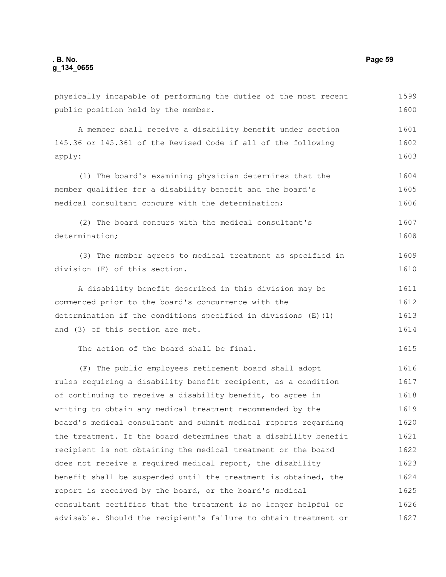public position held by the member. A member shall receive a disability benefit under section 145.36 or 145.361 of the Revised Code if all of the following apply: (1) The board's examining physician determines that the member qualifies for a disability benefit and the board's medical consultant concurs with the determination; (2) The board concurs with the medical consultant's determination; (3) The member agrees to medical treatment as specified in division (F) of this section. A disability benefit described in this division may be commenced prior to the board's concurrence with the determination if the conditions specified in divisions (E)(1) and (3) of this section are met. The action of the board shall be final. (F) The public employees retirement board shall adopt rules requiring a disability benefit recipient, as a condition of continuing to receive a disability benefit, to agree in writing to obtain any medical treatment recommended by the board's medical consultant and submit medical reports regarding the treatment. If the board determines that a disability benefit recipient is not obtaining the medical treatment or the board does not receive a required medical report, the disability benefit shall be suspended until the treatment is obtained, the report is received by the board, or the board's medical consultant certifies that the treatment is no longer helpful or advisable. Should the recipient's failure to obtain treatment or 1600 1601 1602 1603 1604 1605 1606 1607 1608 1609 1610 1611 1612 1613 1614 1615 1616 1617 1618 1619 1620 1621 1622 1623 1624 1625 1626 1627

physically incapable of performing the duties of the most recent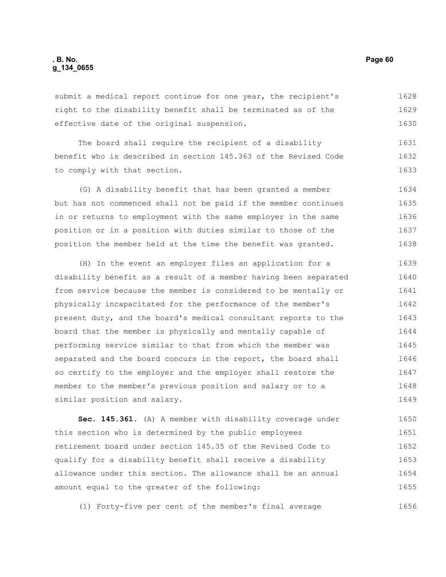submit a medical report continue for one year, the recipient's right to the disability benefit shall be terminated as of the effective date of the original suspension. 1628 1629 1630

The board shall require the recipient of a disability benefit who is described in section 145.363 of the Revised Code to comply with that section. 1631 1632 1633

(G) A disability benefit that has been granted a member but has not commenced shall not be paid if the member continues in or returns to employment with the same employer in the same position or in a position with duties similar to those of the position the member held at the time the benefit was granted. 1634 1635 1636 1637 1638

(H) In the event an employer files an application for a disability benefit as a result of a member having been separated from service because the member is considered to be mentally or physically incapacitated for the performance of the member's present duty, and the board's medical consultant reports to the board that the member is physically and mentally capable of performing service similar to that from which the member was separated and the board concurs in the report, the board shall so certify to the employer and the employer shall restore the member to the member's previous position and salary or to a similar position and salary. 1639 1640 1641 1642 1643 1644 1645 1646 1647 1648 1649

**Sec. 145.361.** (A) A member with disability coverage under this section who is determined by the public employees retirement board under section 145.35 of the Revised Code to qualify for a disability benefit shall receive a disability allowance under this section. The allowance shall be an annual amount equal to the greater of the following: 1650 1651 1652 1653 1654 1655

(1) Forty-five per cent of the member's final average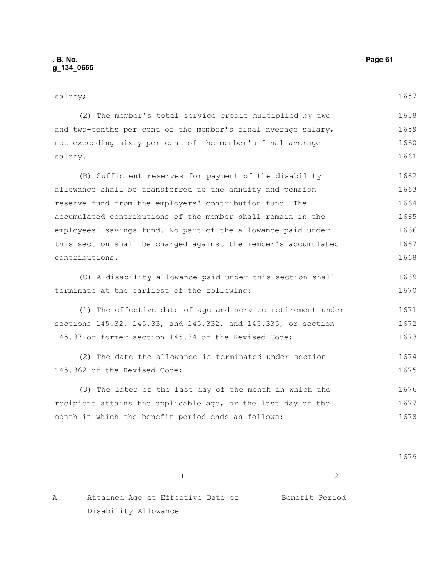| salary;                                                        | 1657 |
|----------------------------------------------------------------|------|
| (2) The member's total service credit multiplied by two        | 1658 |
| and two-tenths per cent of the member's final average salary,  | 1659 |
| not exceeding sixty per cent of the member's final average     | 1660 |
| salary.                                                        | 1661 |
| (B) Sufficient reserves for payment of the disability          | 1662 |
| allowance shall be transferred to the annuity and pension      | 1663 |
| reserve fund from the employers' contribution fund. The        | 1664 |
| accumulated contributions of the member shall remain in the    | 1665 |
| employees' savings fund. No part of the allowance paid under   | 1666 |
| this section shall be charged against the member's accumulated | 1667 |
| contributions.                                                 | 1668 |
| (C) A disability allowance paid under this section shall       | 1669 |
| terminate at the earliest of the following:                    | 1670 |
| (1) The effective date of age and service retirement under     | 1671 |
| sections 145.32, 145.33, and 145.332, and 145.335, or section  | 1672 |
| 145.37 or former section 145.34 of the Revised Code;           | 1673 |
| (2) The date the allowance is terminated under section         | 1674 |
| 145.362 of the Revised Code;                                   | 1675 |
| (3) The later of the last day of the month in which the        | 1676 |
| recipient attains the applicable age, or the last day of the   | 1677 |
| month in which the benefit period ends as follows:             | 1678 |
|                                                                |      |
|                                                                | 1679 |
| $\mathbf{2}$<br>$\mathbf{1}$                                   |      |

A Attained Age at Effective Date of Benefit Period Disability Allowance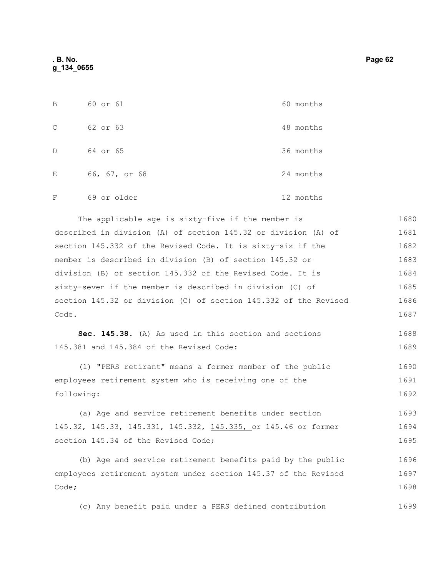| B | 60 or 61      | 60 months |
|---|---------------|-----------|
| C | 62 or 63      | 48 months |
| D | 64 or 65      | 36 months |
| E | 66, 67, or 68 | 24 months |
| F | 69 or older   | 12 months |

The applicable age is sixty-five if the member is described in division (A) of section 145.32 or division (A) of section 145.332 of the Revised Code. It is sixty-six if the member is described in division (B) of section 145.32 or division (B) of section 145.332 of the Revised Code. It is sixty-seven if the member is described in division (C) of section 145.32 or division (C) of section 145.332 of the Revised Code. 1680 1681 1682 1683 1684 1685 1686 1687

**Sec. 145.38.** (A) As used in this section and sections 145.381 and 145.384 of the Revised Code: 1688 1689

(1) "PERS retirant" means a former member of the public employees retirement system who is receiving one of the following: 1690 1691 1692

(a) Age and service retirement benefits under section 145.32, 145.33, 145.331, 145.332, 145.335, or 145.46 or former section 145.34 of the Revised Code; 1693 1694 1695

(b) Age and service retirement benefits paid by the public employees retirement system under section 145.37 of the Revised Code; 1696 1697 1698

(c) Any benefit paid under a PERS defined contribution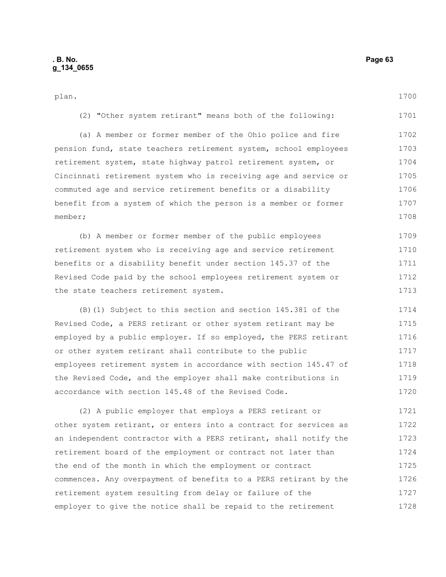1728

| plan.                                                            | 1700 |
|------------------------------------------------------------------|------|
| (2) "Other system retirant" means both of the following:         | 1701 |
| (a) A member or former member of the Ohio police and fire        | 1702 |
| pension fund, state teachers retirement system, school employees | 1703 |
| retirement system, state highway patrol retirement system, or    | 1704 |
| Cincinnati retirement system who is receiving age and service or | 1705 |
| commuted age and service retirement benefits or a disability     | 1706 |
| benefit from a system of which the person is a member or former  | 1707 |
| member;                                                          | 1708 |
| (b) A member or former member of the public employees            | 1709 |
| retirement system who is receiving age and service retirement    | 1710 |
| benefits or a disability benefit under section 145.37 of the     | 1711 |
| Revised Code paid by the school employees retirement system or   | 1712 |
| the state teachers retirement system.                            | 1713 |
| (B) (1) Subject to this section and section 145.381 of the       | 1714 |
| Revised Code, a PERS retirant or other system retirant may be    | 1715 |
| employed by a public employer. If so employed, the PERS retirant | 1716 |
| or other system retirant shall contribute to the public          | 1717 |
| employees retirement system in accordance with section 145.47 of | 1718 |
| the Revised Code, and the employer shall make contributions in   | 1719 |
| accordance with section 145.48 of the Revised Code.              | 1720 |
| (2) A public employer that employs a PERS retirant or            | 1721 |
| other system retirant, or enters into a contract for services as | 1722 |
| an independent contractor with a PERS retirant, shall notify the | 1723 |
| retirement board of the employment or contract not later than    | 1724 |
| the end of the month in which the employment or contract         | 1725 |
| commences. Any overpayment of benefits to a PERS retirant by the | 1726 |
| retirement system resulting from delay or failure of the         | 1727 |

employer to give the notice shall be repaid to the retirement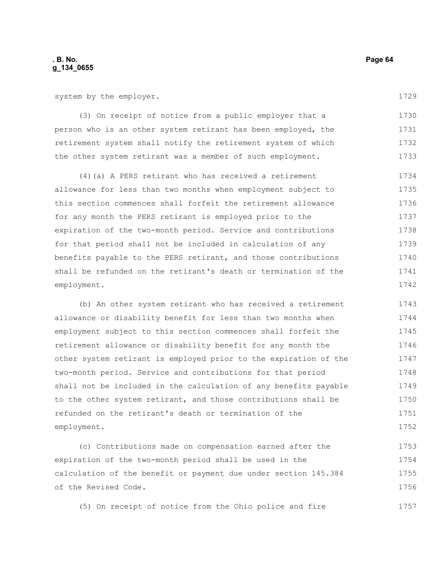system by the employer.

1729

1757

(3) On receipt of notice from a public employer that a person who is an other system retirant has been employed, the retirement system shall notify the retirement system of which the other system retirant was a member of such employment. 1730 1731 1732 1733

(4)(a) A PERS retirant who has received a retirement allowance for less than two months when employment subject to this section commences shall forfeit the retirement allowance for any month the PERS retirant is employed prior to the expiration of the two-month period. Service and contributions for that period shall not be included in calculation of any benefits payable to the PERS retirant, and those contributions shall be refunded on the retirant's death or termination of the employment. 1734 1735 1736 1737 1738 1739 1740 1741 1742

(b) An other system retirant who has received a retirement allowance or disability benefit for less than two months when employment subject to this section commences shall forfeit the retirement allowance or disability benefit for any month the other system retirant is employed prior to the expiration of the two-month period. Service and contributions for that period shall not be included in the calculation of any benefits payable to the other system retirant, and those contributions shall be refunded on the retirant's death or termination of the employment. 1743 1744 1745 1746 1747 1748 1749 1750 1751 1752

(c) Contributions made on compensation earned after the expiration of the two-month period shall be used in the calculation of the benefit or payment due under section 145.384 of the Revised Code. 1753 1754 1755 1756

(5) On receipt of notice from the Ohio police and fire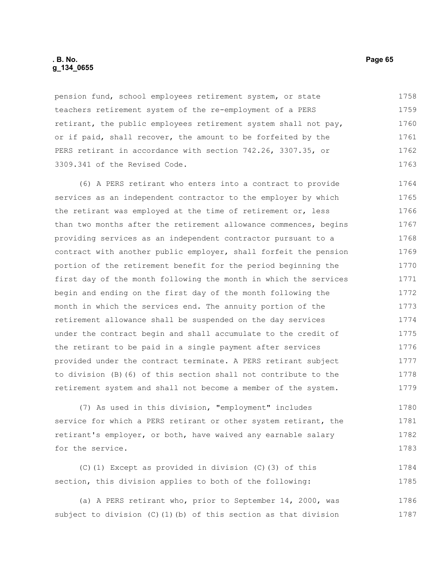### **. B. No. Page 65 g\_134\_0655**

pension fund, school employees retirement system, or state teachers retirement system of the re-employment of a PERS retirant, the public employees retirement system shall not pay, or if paid, shall recover, the amount to be forfeited by the PERS retirant in accordance with section 742.26, 3307.35, or 3309.341 of the Revised Code. 1758 1759 1760 1761 1762 1763

(6) A PERS retirant who enters into a contract to provide services as an independent contractor to the employer by which the retirant was employed at the time of retirement or, less than two months after the retirement allowance commences, begins providing services as an independent contractor pursuant to a contract with another public employer, shall forfeit the pension portion of the retirement benefit for the period beginning the first day of the month following the month in which the services begin and ending on the first day of the month following the month in which the services end. The annuity portion of the retirement allowance shall be suspended on the day services under the contract begin and shall accumulate to the credit of the retirant to be paid in a single payment after services provided under the contract terminate. A PERS retirant subject to division (B)(6) of this section shall not contribute to the retirement system and shall not become a member of the system. 1764 1765 1766 1767 1768 1769 1770 1771 1772 1773 1774 1775 1776 1777 1778 1779

(7) As used in this division, "employment" includes service for which a PERS retirant or other system retirant, the retirant's employer, or both, have waived any earnable salary for the service. 1780 1781 1782 1783

(C)(1) Except as provided in division (C)(3) of this section, this division applies to both of the following: 1784 1785

(a) A PERS retirant who, prior to September 14, 2000, was subject to division  $(C)$  (1)(b) of this section as that division 1786 1787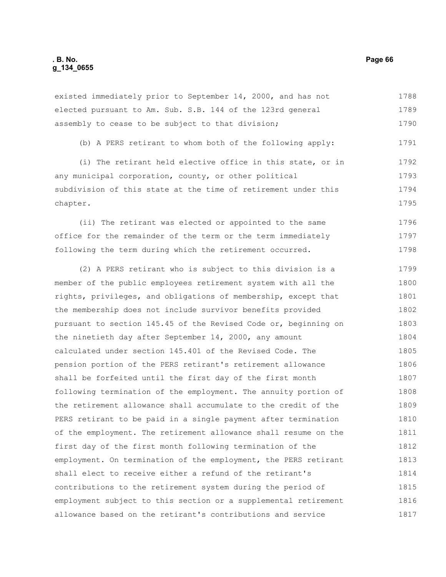### **. B. No. Page 66 g\_134\_0655**

existed immediately prior to September 14, 2000, and has not elected pursuant to Am. Sub. S.B. 144 of the 123rd general assembly to cease to be subject to that division; 1788 1789 1790

(b) A PERS retirant to whom both of the following apply: 1791

(i) The retirant held elective office in this state, or in any municipal corporation, county, or other political subdivision of this state at the time of retirement under this chapter. 1792 1793 1794 1795

(ii) The retirant was elected or appointed to the same office for the remainder of the term or the term immediately following the term during which the retirement occurred. 1796 1797 1798

(2) A PERS retirant who is subject to this division is a member of the public employees retirement system with all the rights, privileges, and obligations of membership, except that the membership does not include survivor benefits provided pursuant to section 145.45 of the Revised Code or, beginning on the ninetieth day after September 14, 2000, any amount calculated under section 145.401 of the Revised Code. The pension portion of the PERS retirant's retirement allowance shall be forfeited until the first day of the first month following termination of the employment. The annuity portion of the retirement allowance shall accumulate to the credit of the PERS retirant to be paid in a single payment after termination of the employment. The retirement allowance shall resume on the first day of the first month following termination of the employment. On termination of the employment, the PERS retirant shall elect to receive either a refund of the retirant's contributions to the retirement system during the period of employment subject to this section or a supplemental retirement allowance based on the retirant's contributions and service 1799 1800 1801 1802 1803 1804 1805 1806 1807 1808 1809 1810 1811 1812 1813 1814 1815 1816 1817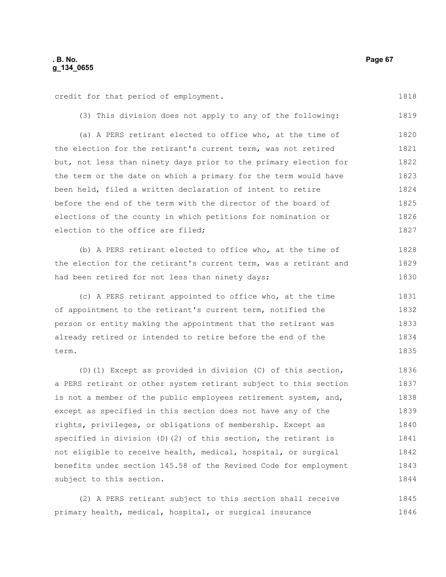credit for that period of employment.

(3) This division does not apply to any of the following: 1819

(a) A PERS retirant elected to office who, at the time of the election for the retirant's current term, was not retired but, not less than ninety days prior to the primary election for the term or the date on which a primary for the term would have been held, filed a written declaration of intent to retire before the end of the term with the director of the board of elections of the county in which petitions for nomination or election to the office are filed; 1820 1821 1822 1823 1824 1825 1826 1827

(b) A PERS retirant elected to office who, at the time of the election for the retirant's current term, was a retirant and had been retired for not less than ninety days; 1828 1829 1830

(c) A PERS retirant appointed to office who, at the time of appointment to the retirant's current term, notified the person or entity making the appointment that the retirant was already retired or intended to retire before the end of the term. 1831 1832 1833 1834 1835

(D)(1) Except as provided in division (C) of this section, a PERS retirant or other system retirant subject to this section is not a member of the public employees retirement system, and, except as specified in this section does not have any of the rights, privileges, or obligations of membership. Except as specified in division (D)(2) of this section, the retirant is not eligible to receive health, medical, hospital, or surgical benefits under section 145.58 of the Revised Code for employment subject to this section. 1836 1837 1838 1839 1840 1841 1842 1843 1844

(2) A PERS retirant subject to this section shall receive primary health, medical, hospital, or surgical insurance 1845 1846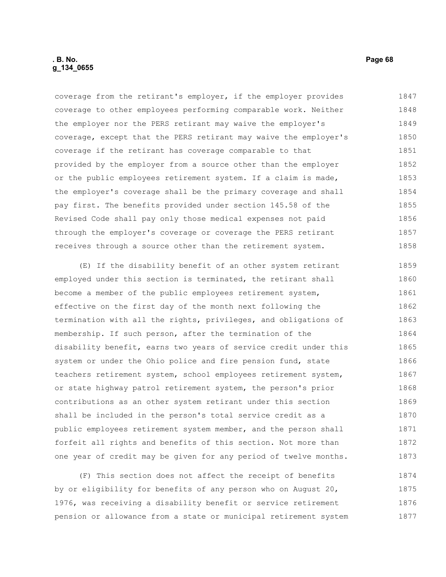coverage from the retirant's employer, if the employer provides coverage to other employees performing comparable work. Neither the employer nor the PERS retirant may waive the employer's coverage, except that the PERS retirant may waive the employer's coverage if the retirant has coverage comparable to that provided by the employer from a source other than the employer or the public employees retirement system. If a claim is made, the employer's coverage shall be the primary coverage and shall pay first. The benefits provided under section 145.58 of the Revised Code shall pay only those medical expenses not paid through the employer's coverage or coverage the PERS retirant receives through a source other than the retirement system. 1847 1848 1849 1850 1851 1852 1853 1854 1855 1856 1857 1858

(E) If the disability benefit of an other system retirant employed under this section is terminated, the retirant shall become a member of the public employees retirement system, effective on the first day of the month next following the termination with all the rights, privileges, and obligations of membership. If such person, after the termination of the disability benefit, earns two years of service credit under this system or under the Ohio police and fire pension fund, state teachers retirement system, school employees retirement system, or state highway patrol retirement system, the person's prior contributions as an other system retirant under this section shall be included in the person's total service credit as a public employees retirement system member, and the person shall forfeit all rights and benefits of this section. Not more than one year of credit may be given for any period of twelve months. 1859 1860 1861 1862 1863 1864 1865 1866 1867 1868 1869 1870 1871 1872 1873

(F) This section does not affect the receipt of benefits by or eligibility for benefits of any person who on August 20, 1976, was receiving a disability benefit or service retirement pension or allowance from a state or municipal retirement system 1874 1875 1876 1877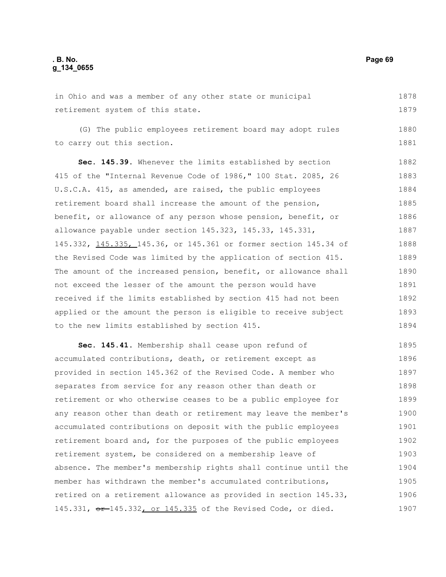in Ohio and was a member of any other state or municipal retirement system of this state. 1878 1879

(G) The public employees retirement board may adopt rules to carry out this section.

**Sec. 145.39.** Whenever the limits established by section 415 of the "Internal Revenue Code of 1986," 100 Stat. 2085, 26 U.S.C.A. 415, as amended, are raised, the public employees retirement board shall increase the amount of the pension, benefit, or allowance of any person whose pension, benefit, or allowance payable under section 145.323, 145.33, 145.331, 145.332, 145.335, 145.36, or 145.361 or former section 145.34 of the Revised Code was limited by the application of section 415. The amount of the increased pension, benefit, or allowance shall not exceed the lesser of the amount the person would have received if the limits established by section 415 had not been applied or the amount the person is eligible to receive subject to the new limits established by section 415. 1882 1883 1884 1885 1886 1887 1888 1889 1890 1891 1892 1893 1894

**Sec. 145.41.** Membership shall cease upon refund of accumulated contributions, death, or retirement except as provided in section 145.362 of the Revised Code. A member who separates from service for any reason other than death or retirement or who otherwise ceases to be a public employee for any reason other than death or retirement may leave the member's accumulated contributions on deposit with the public employees retirement board and, for the purposes of the public employees retirement system, be considered on a membership leave of absence. The member's membership rights shall continue until the member has withdrawn the member's accumulated contributions, retired on a retirement allowance as provided in section 145.33, 145.331, or 145.332, or 145.335 of the Revised Code, or died. 1895 1896 1897 1898 1899 1900 1901 1902 1903 1904 1905 1906 1907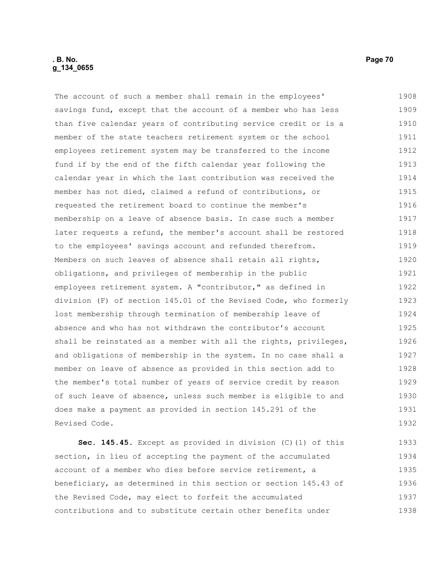### **. B. No. Page 70 g\_134\_0655**

The account of such a member shall remain in the employees' savings fund, except that the account of a member who has less than five calendar years of contributing service credit or is a member of the state teachers retirement system or the school employees retirement system may be transferred to the income fund if by the end of the fifth calendar year following the calendar year in which the last contribution was received the member has not died, claimed a refund of contributions, or requested the retirement board to continue the member's membership on a leave of absence basis. In case such a member later requests a refund, the member's account shall be restored to the employees' savings account and refunded therefrom. Members on such leaves of absence shall retain all rights, obligations, and privileges of membership in the public employees retirement system. A "contributor," as defined in division (F) of section 145.01 of the Revised Code, who formerly lost membership through termination of membership leave of absence and who has not withdrawn the contributor's account shall be reinstated as a member with all the rights, privileges, and obligations of membership in the system. In no case shall a member on leave of absence as provided in this section add to the member's total number of years of service credit by reason of such leave of absence, unless such member is eligible to and does make a payment as provided in section 145.291 of the Revised Code. 1908 1909 1910 1911 1912 1913 1914 1915 1916 1917 1918 1919 1920 1921 1922 1923 1924 1925 1926 1927 1928 1929 1930 1931 1932

**Sec. 145.45.** Except as provided in division (C)(1) of this section, in lieu of accepting the payment of the accumulated account of a member who dies before service retirement, a beneficiary, as determined in this section or section 145.43 of the Revised Code, may elect to forfeit the accumulated contributions and to substitute certain other benefits under 1933 1934 1935 1936 1937 1938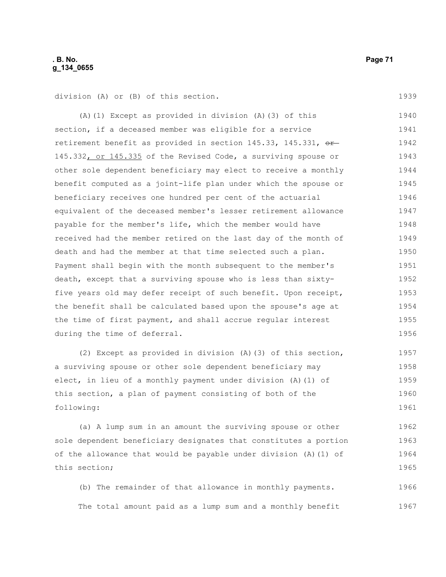### **. B. No. Page 71 g\_134\_0655**

division (A) or (B) of this section.

(A)(1) Except as provided in division (A)(3) of this section, if a deceased member was eligible for a service retirement benefit as provided in section  $145.33$ ,  $145.331$ ,  $\theta$ r 145.332, or 145.335 of the Revised Code, a surviving spouse or other sole dependent beneficiary may elect to receive a monthly benefit computed as a joint-life plan under which the spouse or beneficiary receives one hundred per cent of the actuarial equivalent of the deceased member's lesser retirement allowance payable for the member's life, which the member would have received had the member retired on the last day of the month of death and had the member at that time selected such a plan. Payment shall begin with the month subsequent to the member's death, except that a surviving spouse who is less than sixtyfive years old may defer receipt of such benefit. Upon receipt, the benefit shall be calculated based upon the spouse's age at the time of first payment, and shall accrue regular interest during the time of deferral. 1940 1941 1942 1943 1944 1945 1946 1947 1948 1949 1950 1951 1952 1953 1954 1955 1956

(2) Except as provided in division (A)(3) of this section, a surviving spouse or other sole dependent beneficiary may elect, in lieu of a monthly payment under division (A)(1) of this section, a plan of payment consisting of both of the following: 1957 1958 1959 1960 1961

(a) A lump sum in an amount the surviving spouse or other sole dependent beneficiary designates that constitutes a portion of the allowance that would be payable under division (A)(1) of this section; 1962 1963 1964 1965

(b) The remainder of that allowance in monthly payments. The total amount paid as a lump sum and a monthly benefit 1966 1967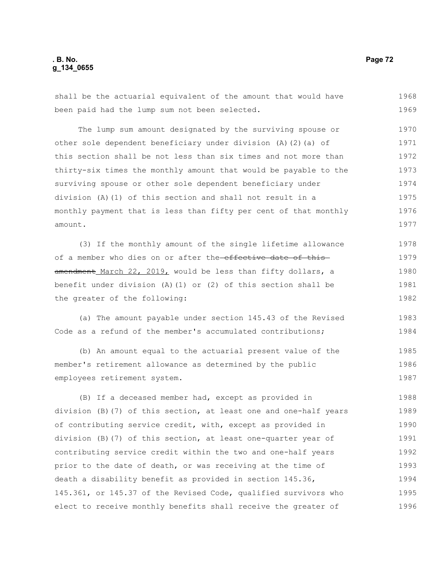## **. B. No. Page 72 g\_134\_0655**

shall be the actuarial equivalent of the amount that would have been paid had the lump sum not been selected. 1968 1969

The lump sum amount designated by the surviving spouse or other sole dependent beneficiary under division (A)(2)(a) of this section shall be not less than six times and not more than thirty-six times the monthly amount that would be payable to the surviving spouse or other sole dependent beneficiary under division (A)(1) of this section and shall not result in a monthly payment that is less than fifty per cent of that monthly amount. 1970 1971 1972 1973 1974 1975 1976 1977

(3) If the monthly amount of the single lifetime allowance of a member who dies on or after the effective date of this amendment March 22, 2019, would be less than fifty dollars, a benefit under division (A)(1) or (2) of this section shall be the greater of the following: 1978 1979 1980 1981 1982

(a) The amount payable under section 145.43 of the Revised Code as a refund of the member's accumulated contributions; 1983 1984

(b) An amount equal to the actuarial present value of the member's retirement allowance as determined by the public employees retirement system. 1985 1986 1987

(B) If a deceased member had, except as provided in division (B)(7) of this section, at least one and one-half years of contributing service credit, with, except as provided in division (B)(7) of this section, at least one-quarter year of contributing service credit within the two and one-half years prior to the date of death, or was receiving at the time of death a disability benefit as provided in section 145.36, 145.361, or 145.37 of the Revised Code, qualified survivors who elect to receive monthly benefits shall receive the greater of 1988 1989 1990 1991 1992 1993 1994 1995 1996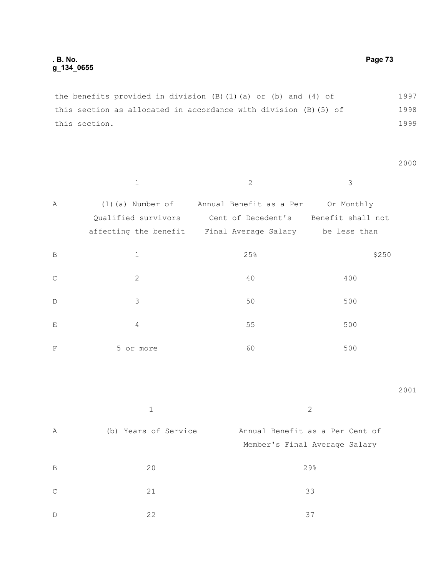the benefits provided in division (B)(1)(a) or (b) and (4) of this section as allocated in accordance with division (B)(5) of this section. 1997 1998 1999

2000

|               | $\mathbf{1}$        | $\overline{2}$                                           | 3     |
|---------------|---------------------|----------------------------------------------------------|-------|
| Α             | $(1)$ (a) Number of | Annual Benefit as a Per Or Monthly                       |       |
|               |                     | Qualified survivors Cent of Decedent's Benefit shall not |       |
|               |                     | affecting the benefit Final Average Salary be less than  |       |
| B             | $\mathbf{1}$        | 25%                                                      | \$250 |
| $\mathcal{C}$ | 2                   | 40                                                       | 400   |
| $\mathbb{D}$  | 3                   | 50                                                       | 500   |
| E             | 4                   | 55                                                       | 500   |
| $_{\rm F}$    | 5 or more           | 60                                                       | 500   |

2001

| Α  | (b) Years of Service | Annual Benefit as a Per Cent of<br>Member's Final Average Salary |
|----|----------------------|------------------------------------------------------------------|
| B  | 20                   | 29%                                                              |
| C. | 21                   | 33                                                               |
| D  | 22                   | 37                                                               |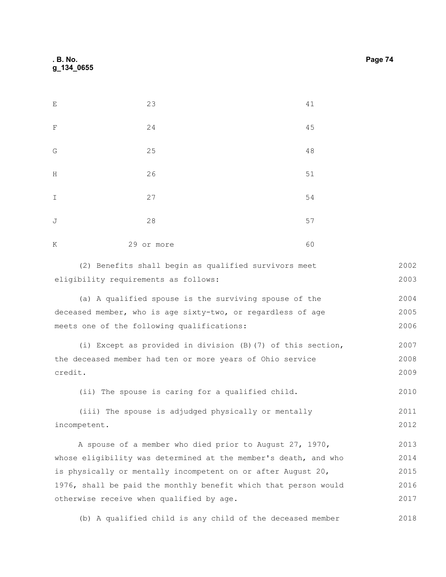| E             | 23         | 41     |
|---------------|------------|--------|
| F             | 24         | 45     |
| G             | 25         | $4\,8$ |
| H             | 26         | $51$   |
| $\mathbbm{I}$ | 27         | 54     |
| J             | 28         | 57     |
| K             | 29 or more | 60     |

|                                      |  | (2) Benefits shall begin as qualified survivors meet |  | 2002 |
|--------------------------------------|--|------------------------------------------------------|--|------|
| eligibility requirements as follows: |  |                                                      |  | 2003 |

(a) A qualified spouse is the surviving spouse of the deceased member, who is age sixty-two, or regardless of age meets one of the following qualifications: 2004 2005 2006

(i) Except as provided in division (B)(7) of this section, the deceased member had ten or more years of Ohio service credit. 2007 2008 2009

(ii) The spouse is caring for a qualified child. 2010

(iii) The spouse is adjudged physically or mentally incompetent. 2011 2012

A spouse of a member who died prior to August 27, 1970, whose eligibility was determined at the member's death, and who is physically or mentally incompetent on or after August 20, 1976, shall be paid the monthly benefit which that person would otherwise receive when qualified by age. 2013 2014 2015 2016 2017

(b) A qualified child is any child of the deceased member 2018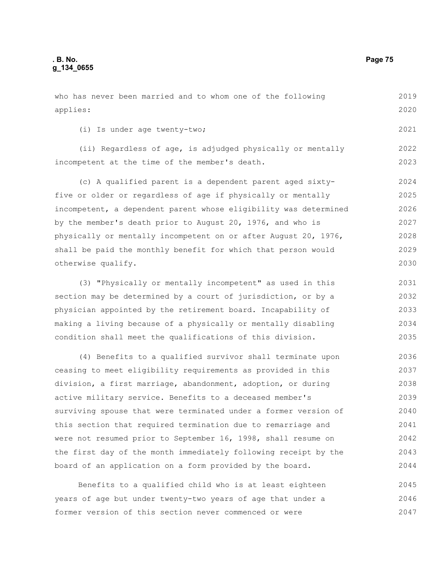who has never been married and to whom one of the following applies: (i) Is under age twenty-two; (ii) Regardless of age, is adjudged physically or mentally incompetent at the time of the member's death. (c) A qualified parent is a dependent parent aged sixtyfive or older or regardless of age if physically or mentally incompetent, a dependent parent whose eligibility was determined by the member's death prior to August 20, 1976, and who is 2019 2020 2021 2022 2023 2024 2025 2026 2027 2028

physically or mentally incompetent on or after August 20, 1976, shall be paid the monthly benefit for which that person would otherwise qualify. 2029 2030

(3) "Physically or mentally incompetent" as used in this section may be determined by a court of jurisdiction, or by a physician appointed by the retirement board. Incapability of making a living because of a physically or mentally disabling condition shall meet the qualifications of this division. 2031 2032 2033 2034 2035

(4) Benefits to a qualified survivor shall terminate upon ceasing to meet eligibility requirements as provided in this division, a first marriage, abandonment, adoption, or during active military service. Benefits to a deceased member's surviving spouse that were terminated under a former version of this section that required termination due to remarriage and were not resumed prior to September 16, 1998, shall resume on the first day of the month immediately following receipt by the board of an application on a form provided by the board. 2036 2037 2038 2039 2040 2041 2042 2043 2044

Benefits to a qualified child who is at least eighteen years of age but under twenty-two years of age that under a former version of this section never commenced or were 2045 2046 2047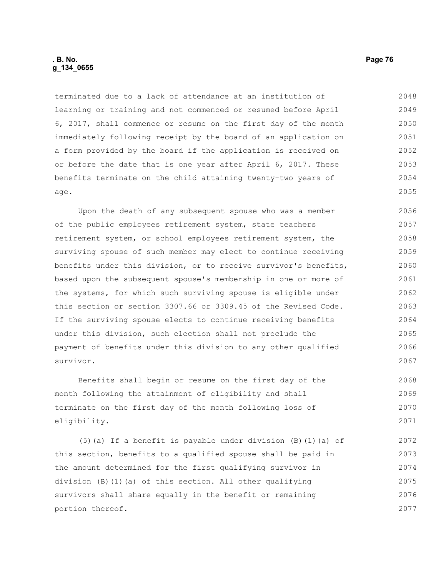terminated due to a lack of attendance at an institution of learning or training and not commenced or resumed before April 6, 2017, shall commence or resume on the first day of the month immediately following receipt by the board of an application on a form provided by the board if the application is received on or before the date that is one year after April 6, 2017. These benefits terminate on the child attaining twenty-two years of age. 2048 2049 2050 2051 2052 2053 2054 2055

Upon the death of any subsequent spouse who was a member of the public employees retirement system, state teachers retirement system, or school employees retirement system, the surviving spouse of such member may elect to continue receiving benefits under this division, or to receive survivor's benefits, based upon the subsequent spouse's membership in one or more of the systems, for which such surviving spouse is eligible under this section or section 3307.66 or 3309.45 of the Revised Code. If the surviving spouse elects to continue receiving benefits under this division, such election shall not preclude the payment of benefits under this division to any other qualified survivor. 2056 2057 2058 2059 2060 2061 2062 2063 2064 2065 2066 2067

Benefits shall begin or resume on the first day of the month following the attainment of eligibility and shall terminate on the first day of the month following loss of eligibility. 2068 2069 2070 2071

(5)(a) If a benefit is payable under division (B)(1)(a) of this section, benefits to a qualified spouse shall be paid in the amount determined for the first qualifying survivor in division (B)(1)(a) of this section. All other qualifying survivors shall share equally in the benefit or remaining portion thereof. 2072 2073 2074 2075 2076 2077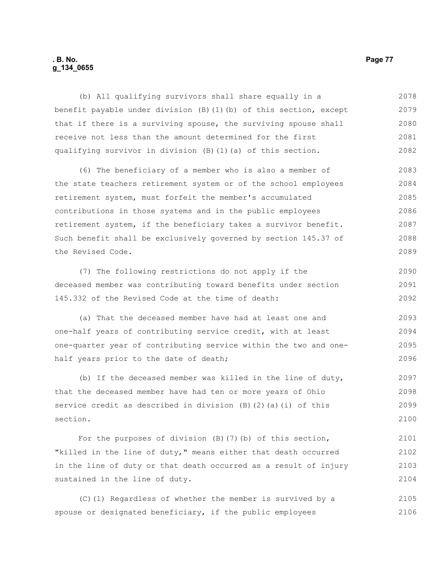# **. B. No. Page 77 g\_134\_0655**

(b) All qualifying survivors shall share equally in a benefit payable under division (B)(1)(b) of this section, except that if there is a surviving spouse, the surviving spouse shall receive not less than the amount determined for the first qualifying survivor in division (B)(1)(a) of this section. (6) The beneficiary of a member who is also a member of the state teachers retirement system or of the school employees retirement system, must forfeit the member's accumulated contributions in those systems and in the public employees retirement system, if the beneficiary takes a survivor benefit. Such benefit shall be exclusively governed by section 145.37 of the Revised Code. (7) The following restrictions do not apply if the 2078 2079 2080 2081 2082 2083 2084 2085 2086 2087 2088 2089 2090

deceased member was contributing toward benefits under section 145.332 of the Revised Code at the time of death: 2091 2092

(a) That the deceased member have had at least one and one-half years of contributing service credit, with at least one-quarter year of contributing service within the two and onehalf years prior to the date of death; 2093 2094 2095 2096

(b) If the deceased member was killed in the line of duty, that the deceased member have had ten or more years of Ohio service credit as described in division (B)(2)(a)(i) of this section. 2097 2098 2099 2100

For the purposes of division  $(B)$   $(7)$   $(b)$  of this section, "killed in the line of duty," means either that death occurred in the line of duty or that death occurred as a result of injury sustained in the line of duty. 2101 2102 2103 2104

(C)(1) Regardless of whether the member is survived by a spouse or designated beneficiary, if the public employees 2105 2106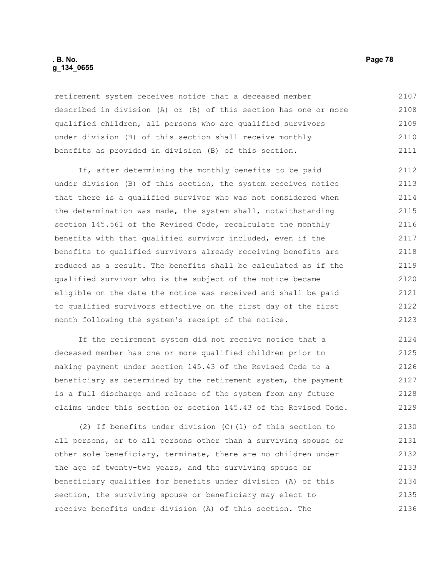# **. B. No. Page 78 g\_134\_0655**

retirement system receives notice that a deceased member described in division (A) or (B) of this section has one or more qualified children, all persons who are qualified survivors under division (B) of this section shall receive monthly benefits as provided in division (B) of this section. 2107 2108 2109 2110 2111

If, after determining the monthly benefits to be paid under division (B) of this section, the system receives notice that there is a qualified survivor who was not considered when the determination was made, the system shall, notwithstanding section 145.561 of the Revised Code, recalculate the monthly benefits with that qualified survivor included, even if the benefits to qualified survivors already receiving benefits are reduced as a result. The benefits shall be calculated as if the qualified survivor who is the subject of the notice became eligible on the date the notice was received and shall be paid to qualified survivors effective on the first day of the first month following the system's receipt of the notice. 2112 2113 2114 2115 2116 2117 2118 2119 2120 2121 2122 2123

If the retirement system did not receive notice that a deceased member has one or more qualified children prior to making payment under section 145.43 of the Revised Code to a beneficiary as determined by the retirement system, the payment is a full discharge and release of the system from any future claims under this section or section 145.43 of the Revised Code. 2124 2125 2126 2127 2128 2129

(2) If benefits under division (C)(1) of this section to all persons, or to all persons other than a surviving spouse or other sole beneficiary, terminate, there are no children under the age of twenty-two years, and the surviving spouse or beneficiary qualifies for benefits under division (A) of this section, the surviving spouse or beneficiary may elect to receive benefits under division (A) of this section. The 2130 2131 2132 2133 2134 2135 2136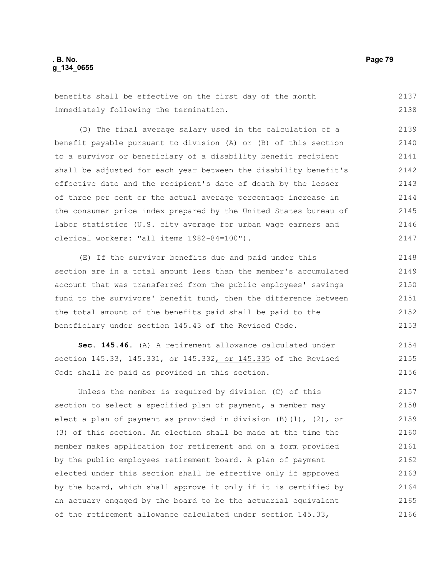benefits shall be effective on the first day of the month immediately following the termination. 2137 2138

(D) The final average salary used in the calculation of a benefit payable pursuant to division (A) or (B) of this section to a survivor or beneficiary of a disability benefit recipient shall be adjusted for each year between the disability benefit's effective date and the recipient's date of death by the lesser of three per cent or the actual average percentage increase in the consumer price index prepared by the United States bureau of labor statistics (U.S. city average for urban wage earners and clerical workers: "all items 1982-84=100"). 2140 2141 2142 2143 2144 2145 2146 2147

(E) If the survivor benefits due and paid under this section are in a total amount less than the member's accumulated account that was transferred from the public employees' savings fund to the survivors' benefit fund, then the difference between the total amount of the benefits paid shall be paid to the beneficiary under section 145.43 of the Revised Code. 2148 2149 2150 2151 2152 2153

**Sec. 145.46.** (A) A retirement allowance calculated under section 145.33, 145.331, or 145.332, or 145.335 of the Revised Code shall be paid as provided in this section. 2154 2155 2156

Unless the member is required by division (C) of this section to select a specified plan of payment, a member may elect a plan of payment as provided in division  $(B)$   $(1)$ ,  $(2)$ , or (3) of this section. An election shall be made at the time the member makes application for retirement and on a form provided by the public employees retirement board. A plan of payment elected under this section shall be effective only if approved by the board, which shall approve it only if it is certified by an actuary engaged by the board to be the actuarial equivalent of the retirement allowance calculated under section 145.33, 2157 2158 2159 2160 2161 2162 2163 2164 2165 2166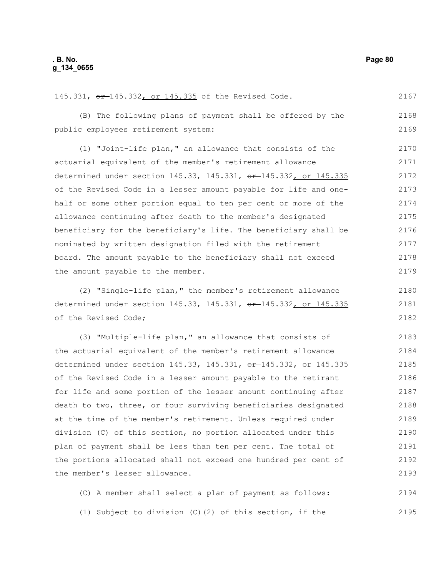2167

2180 2181 2182

145.331, or 145.332, or 145.335 of the Revised Code.

(B) The following plans of payment shall be offered by the public employees retirement system: 2168 2169

(1) "Joint-life plan," an allowance that consists of the actuarial equivalent of the member's retirement allowance determined under section 145.33, 145.331, or 145.332, or 145.335 of the Revised Code in a lesser amount payable for life and onehalf or some other portion equal to ten per cent or more of the allowance continuing after death to the member's designated beneficiary for the beneficiary's life. The beneficiary shall be nominated by written designation filed with the retirement board. The amount payable to the beneficiary shall not exceed the amount payable to the member. 2170 2171 2172 2173 2174 2175 2176 2177 2178 2179

(2) "Single-life plan," the member's retirement allowance determined under section 145.33, 145.331, or 145.332, or 145.335 of the Revised Code;

(3) "Multiple-life plan," an allowance that consists of the actuarial equivalent of the member's retirement allowance determined under section 145.33, 145.331, or 145.332, or 145.335 of the Revised Code in a lesser amount payable to the retirant for life and some portion of the lesser amount continuing after death to two, three, or four surviving beneficiaries designated at the time of the member's retirement. Unless required under division (C) of this section, no portion allocated under this plan of payment shall be less than ten per cent. The total of the portions allocated shall not exceed one hundred per cent of the member's lesser allowance. 2183 2184 2185 2186 2187 2188 2189 2190 2191 2192 2193

(C) A member shall select a plan of payment as follows: (1) Subject to division (C)(2) of this section, if the 2194 2195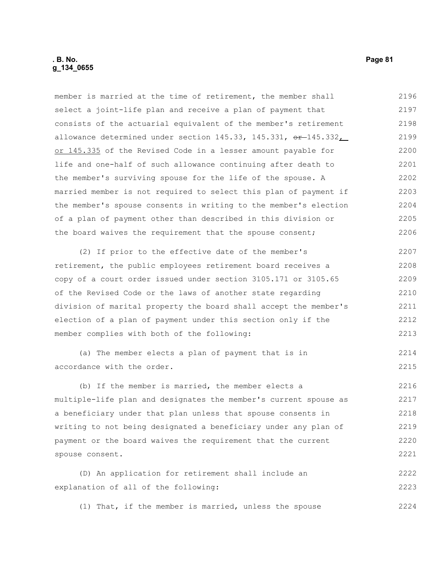member is married at the time of retirement, the member shall select a joint-life plan and receive a plan of payment that consists of the actuarial equivalent of the member's retirement allowance determined under section  $145.33$ ,  $145.331$ ,  $\theta$ r  $\pm$  145.332, or 145.335 of the Revised Code in a lesser amount payable for life and one-half of such allowance continuing after death to the member's surviving spouse for the life of the spouse. A married member is not required to select this plan of payment if the member's spouse consents in writing to the member's election of a plan of payment other than described in this division or the board waives the requirement that the spouse consent; 2196 2197 2198 2199 2200 2201 2202 2203 2204 2205 2206

(2) If prior to the effective date of the member's retirement, the public employees retirement board receives a copy of a court order issued under section 3105.171 or 3105.65 of the Revised Code or the laws of another state regarding division of marital property the board shall accept the member's election of a plan of payment under this section only if the member complies with both of the following: 2207 2208 2209 2210 2211 2212 2213

(a) The member elects a plan of payment that is in accordance with the order. 2214 2215

(b) If the member is married, the member elects a multiple-life plan and designates the member's current spouse as a beneficiary under that plan unless that spouse consents in writing to not being designated a beneficiary under any plan of payment or the board waives the requirement that the current spouse consent. 2216 2217 2218 2219 2220 2221

(D) An application for retirement shall include an explanation of all of the following: 2222 2223

(1) That, if the member is married, unless the spouse 2224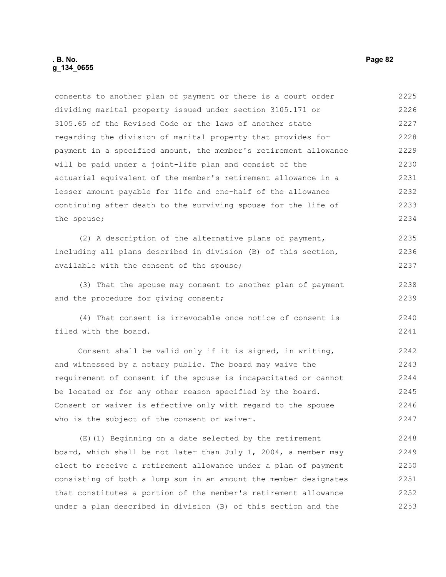# **. B. No. Page 82 g\_134\_0655**

consents to another plan of payment or there is a court order dividing marital property issued under section 3105.171 or 3105.65 of the Revised Code or the laws of another state regarding the division of marital property that provides for payment in a specified amount, the member's retirement allowance will be paid under a joint-life plan and consist of the actuarial equivalent of the member's retirement allowance in a lesser amount payable for life and one-half of the allowance continuing after death to the surviving spouse for the life of the spouse; 2225 2226 2227 2228 2229 2230 2231 2232 2233 2234

(2) A description of the alternative plans of payment, including all plans described in division (B) of this section, available with the consent of the spouse; 2235 2236 2237

(3) That the spouse may consent to another plan of payment and the procedure for giving consent;

(4) That consent is irrevocable once notice of consent is filed with the board. 2240 2241

Consent shall be valid only if it is signed, in writing, and witnessed by a notary public. The board may waive the requirement of consent if the spouse is incapacitated or cannot be located or for any other reason specified by the board. Consent or waiver is effective only with regard to the spouse who is the subject of the consent or waiver. 2242 2243 2244 2245 2246 2247

(E)(1) Beginning on a date selected by the retirement board, which shall be not later than July 1, 2004, a member may elect to receive a retirement allowance under a plan of payment consisting of both a lump sum in an amount the member designates that constitutes a portion of the member's retirement allowance under a plan described in division (B) of this section and the 2248 2249 2250 2251 2252 2253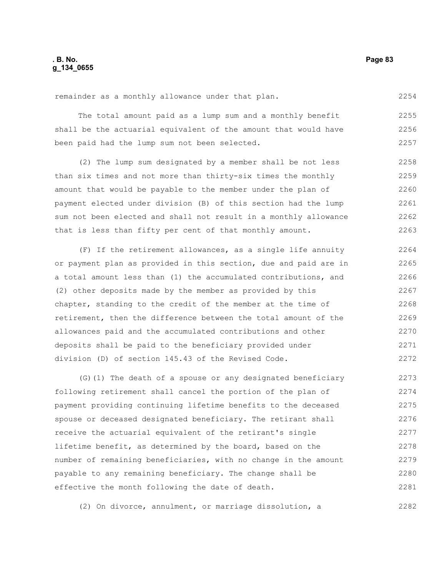remainder as a monthly allowance under that plan.

The total amount paid as a lump sum and a monthly benefit shall be the actuarial equivalent of the amount that would have been paid had the lump sum not been selected. 2255 2256 2257

(2) The lump sum designated by a member shall be not less than six times and not more than thirty-six times the monthly amount that would be payable to the member under the plan of payment elected under division (B) of this section had the lump sum not been elected and shall not result in a monthly allowance that is less than fifty per cent of that monthly amount. 2258 2259 2260 2261 2262 2263

(F) If the retirement allowances, as a single life annuity or payment plan as provided in this section, due and paid are in a total amount less than (1) the accumulated contributions, and (2) other deposits made by the member as provided by this chapter, standing to the credit of the member at the time of retirement, then the difference between the total amount of the allowances paid and the accumulated contributions and other deposits shall be paid to the beneficiary provided under division (D) of section 145.43 of the Revised Code. 2264 2265 2266 2267 2268 2269 2270 2271 2272

(G)(1) The death of a spouse or any designated beneficiary following retirement shall cancel the portion of the plan of payment providing continuing lifetime benefits to the deceased spouse or deceased designated beneficiary. The retirant shall receive the actuarial equivalent of the retirant's single lifetime benefit, as determined by the board, based on the number of remaining beneficiaries, with no change in the amount payable to any remaining beneficiary. The change shall be effective the month following the date of death. 2273 2274 2275 2276 2277 2278 2279 2280 2281

(2) On divorce, annulment, or marriage dissolution, a

2254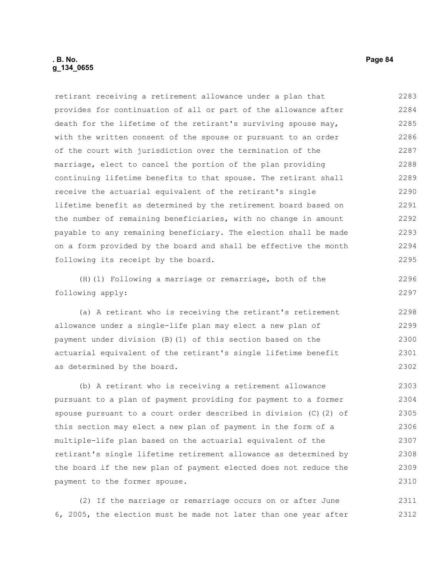# **. B. No. Page 84 g\_134\_0655**

retirant receiving a retirement allowance under a plan that provides for continuation of all or part of the allowance after death for the lifetime of the retirant's surviving spouse may, with the written consent of the spouse or pursuant to an order of the court with jurisdiction over the termination of the marriage, elect to cancel the portion of the plan providing continuing lifetime benefits to that spouse. The retirant shall receive the actuarial equivalent of the retirant's single lifetime benefit as determined by the retirement board based on the number of remaining beneficiaries, with no change in amount payable to any remaining beneficiary. The election shall be made on a form provided by the board and shall be effective the month following its receipt by the board. 2283 2284 2285 2286 2287 2288 2289 2290 2291 2292 2293 2294 2295

(H)(1) Following a marriage or remarriage, both of the following apply:

(a) A retirant who is receiving the retirant's retirement allowance under a single-life plan may elect a new plan of payment under division (B)(1) of this section based on the actuarial equivalent of the retirant's single lifetime benefit as determined by the board.

(b) A retirant who is receiving a retirement allowance pursuant to a plan of payment providing for payment to a former spouse pursuant to a court order described in division (C)(2) of this section may elect a new plan of payment in the form of a multiple-life plan based on the actuarial equivalent of the retirant's single lifetime retirement allowance as determined by the board if the new plan of payment elected does not reduce the payment to the former spouse. 2303 2304 2305 2306 2307 2308 2309 2310

(2) If the marriage or remarriage occurs on or after June 6, 2005, the election must be made not later than one year after 2311 2312

2296 2297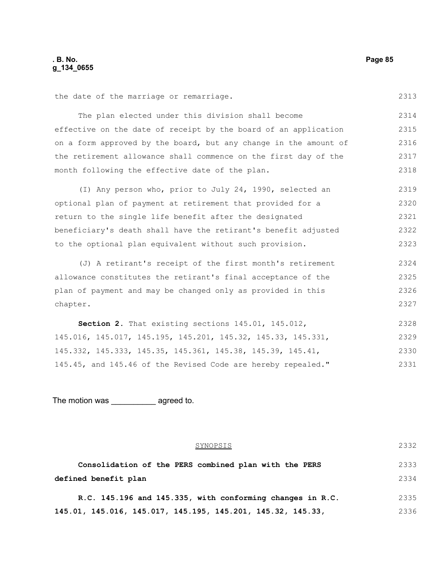chapter.

2327

the date of the marriage or remarriage. The plan elected under this division shall become effective on the date of receipt by the board of an application on a form approved by the board, but any change in the amount of the retirement allowance shall commence on the first day of the month following the effective date of the plan. (I) Any person who, prior to July 24, 1990, selected an optional plan of payment at retirement that provided for a return to the single life benefit after the designated beneficiary's death shall have the retirant's benefit adjusted to the optional plan equivalent without such provision. (J) A retirant's receipt of the first month's retirement allowance constitutes the retirant's final acceptance of the plan of payment and may be changed only as provided in this 2313 2314 2315 2316 2317 2318 2319 2320 2321 2322 2323 2324 2325 2326

**Section 2.** That existing sections 145.01, 145.012, 145.016, 145.017, 145.195, 145.201, 145.32, 145.33, 145.331, 145.332, 145.333, 145.35, 145.361, 145.38, 145.39, 145.41, 145.45, and 145.46 of the Revised Code are hereby repealed." 2328 2329 2330 2331

The motion was agreed to.

| SYNOPSIS                                                    | 2332 |
|-------------------------------------------------------------|------|
| Consolidation of the PERS combined plan with the PERS       | 2333 |
| defined benefit plan                                        | 2334 |
| R.C. 145.196 and 145.335, with conforming changes in R.C.   | 2335 |
| 145.01, 145.016, 145.017, 145.195, 145.201, 145.32, 145.33, | 2336 |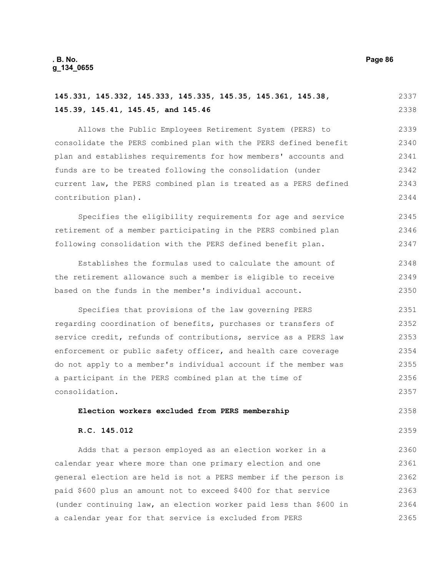**R.C. 145.012**

**145.39, 145.41, 145.45, and 145.46** Allows the Public Employees Retirement System (PERS) to consolidate the PERS combined plan with the PERS defined benefit plan and establishes requirements for how members' accounts and funds are to be treated following the consolidation (under current law, the PERS combined plan is treated as a PERS defined contribution plan).

Specifies the eligibility requirements for age and service retirement of a member participating in the PERS combined plan following consolidation with the PERS defined benefit plan. 2345 2346 2347

**145.331, 145.332, 145.333, 145.335, 145.35, 145.361, 145.38,** 

Establishes the formulas used to calculate the amount of the retirement allowance such a member is eligible to receive based on the funds in the member's individual account. 2348 2349 2350

Specifies that provisions of the law governing PERS regarding coordination of benefits, purchases or transfers of service credit, refunds of contributions, service as a PERS law enforcement or public safety officer, and health care coverage do not apply to a member's individual account if the member was a participant in the PERS combined plan at the time of consolidation. 2351 2352 2353 2354 2355 2356 2357

#### **Election workers excluded from PERS membership**

2358 2359

#### Adds that a person employed as an election worker in a calendar year where more than one primary election and one general election are held is not a PERS member if the person is paid \$600 plus an amount not to exceed \$400 for that service (under continuing law, an election worker paid less than \$600 in a calendar year for that service is excluded from PERS 2360 2361 2362 2363 2364 2365

2337 2338